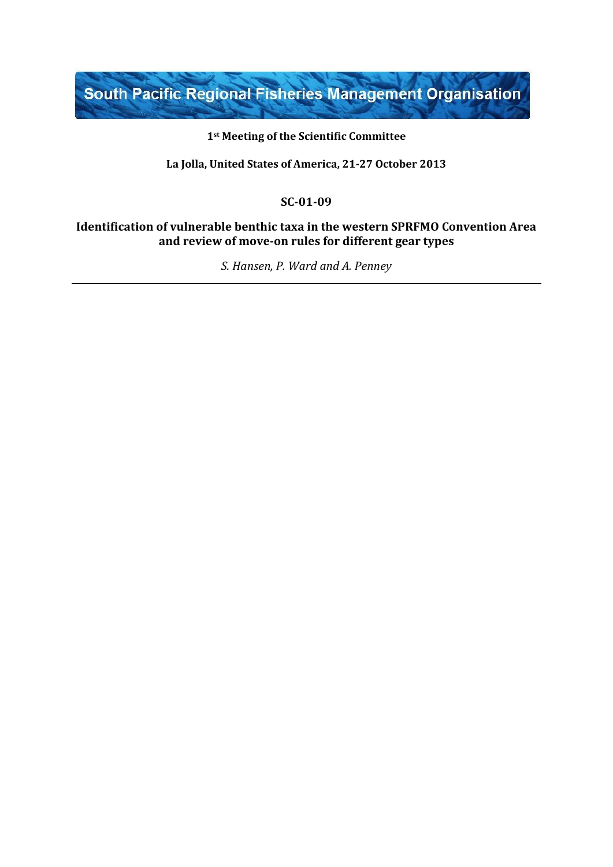South Pacific Regional Fisheries Management Organisation

#### **1st Meeting of the Scientific Committee**

**La Jolla, United States of America, 21-27 October 2013**

### **SC-01-09**

### **Identification of vulnerable benthic taxa in the western SPRFMO Convention Area and review of move-on rules for different gear types**

*S. Hansen, P. Ward and A. Penney*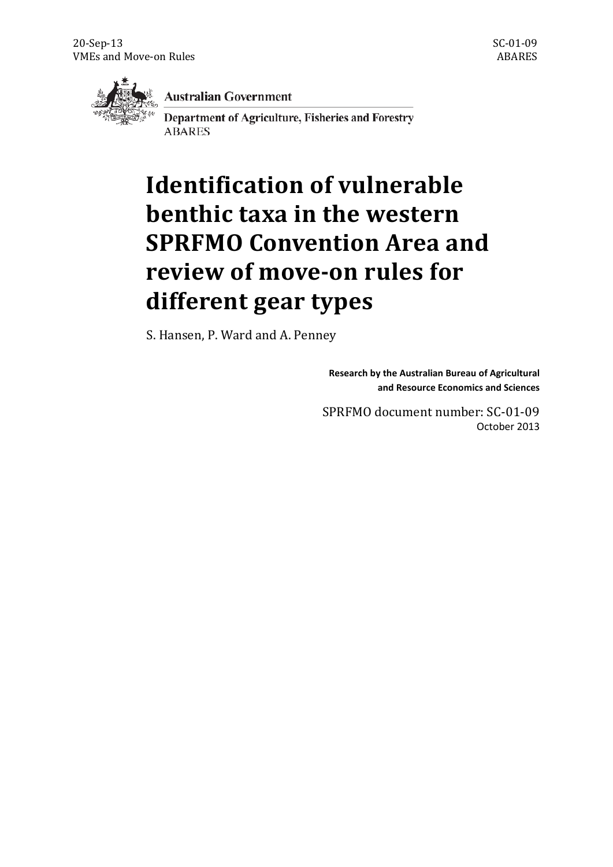

**Australian Government** 

Department of Agriculture, Fisheries and Forestry **ABARES** 

# **Identification of vulnerable benthic taxa in the western SPRFMO Convention Area and review of move-on rules for different gear types**

S. Hansen, P. Ward and A. Penney

**Research by the Australian Bureau of Agricultural and Resource Economics and Sciences**

SPRFMO document number: SC-01-09 October 2013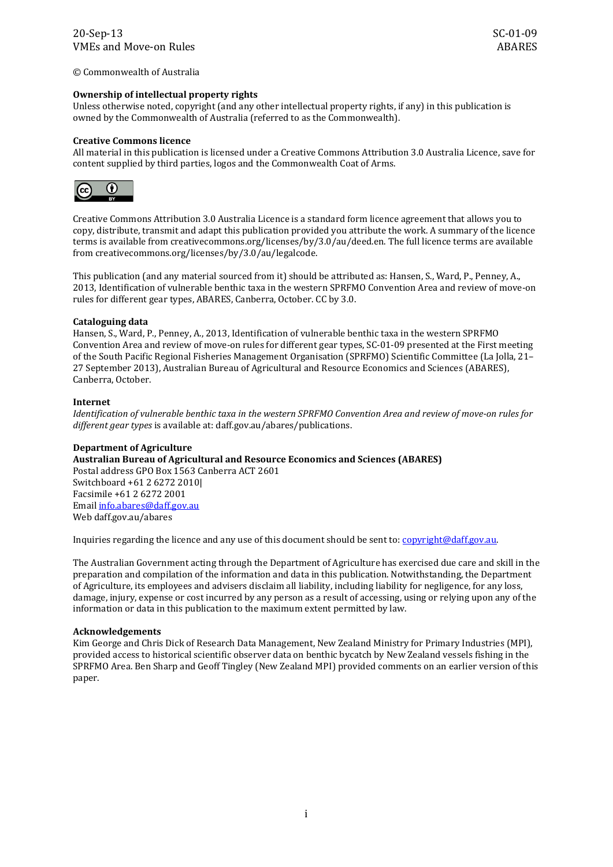© Commonwealth of Australia

#### **Ownership of intellectual property rights**

Unless otherwise noted, copyright (and any other intellectual property rights, if any) in this publication is owned by the Commonwealth of Australia (referred to as the Commonwealth).

#### **Creative Commons licence**

All material in this publication is licensed under a Creative Commons Attribution 3.0 Australia Licence, save for content supplied by third parties, logos and the Commonwealth Coat of Arms.



Creative Commons Attribution 3.0 Australia Licence is a standard form licence agreement that allows you to copy, distribute, transmit and adapt this publication provided you attribute the work. A summary of the licence terms is available from creativecommons.org/licenses/by/3.0/au/deed.en. The full licence terms are available from creativecommons.org/licenses/by/3.0/au/legalcode.

This publication (and any material sourced from it) should be attributed as: Hansen, S., Ward, P., Penney, A., 2013, Identification of vulnerable benthic taxa in the western SPRFMO Convention Area and review of move-on rules for different gear types, ABARES, Canberra, October. CC by 3.0.

#### **Cataloguing data**

Hansen, S., Ward, P., Penney, A., 2013, Identification of vulnerable benthic taxa in the western SPRFMO Convention Area and review of move-on rules for different gear types, SC-01-09 presented at the First meeting of the South Pacific Regional Fisheries Management Organisation (SPRFMO) Scientific Committee (La Jolla, 21– 27 September 2013), Australian Bureau of Agricultural and Resource Economics and Sciences (ABARES), Canberra, October.

#### **Internet**

*Identification of vulnerable benthic taxa in the western SPRFMO Convention Area and review of move-on rules for different gear types* is available at: daff.gov.au/abares/publications.

#### **Department of Agriculture**

**Australian Bureau of Agricultural and Resource Economics and Sciences (ABARES)** Postal address GPO Box 1563 Canberra ACT 2601 Switchboard +61 2 6272 2010| Facsimile +61 2 6272 2001 Emai[l info.abares@daff.gov.au](mailto:info.abares@daff.gov.au) Web daff.gov.au/abares

Inquiries regarding the licence and any use of this document should be sent to: [copyright@daff.gov.au.](mailto:copyright@daff.gov.au)

The Australian Government acting through the Department of Agriculture has exercised due care and skill in the preparation and compilation of the information and data in this publication. Notwithstanding, the Department of Agriculture, its employees and advisers disclaim all liability, including liability for negligence, for any loss, damage, injury, expense or cost incurred by any person as a result of accessing, using or relying upon any of the information or data in this publication to the maximum extent permitted by law.

#### **Acknowledgements**

Kim George and Chris Dick of Research Data Management, New Zealand Ministry for Primary Industries (MPI), provided access to historical scientific observer data on benthic bycatch by New Zealand vessels fishing in the SPRFMO Area. Ben Sharp and Geoff Tingley (New Zealand MPI) provided comments on an earlier version of this paper.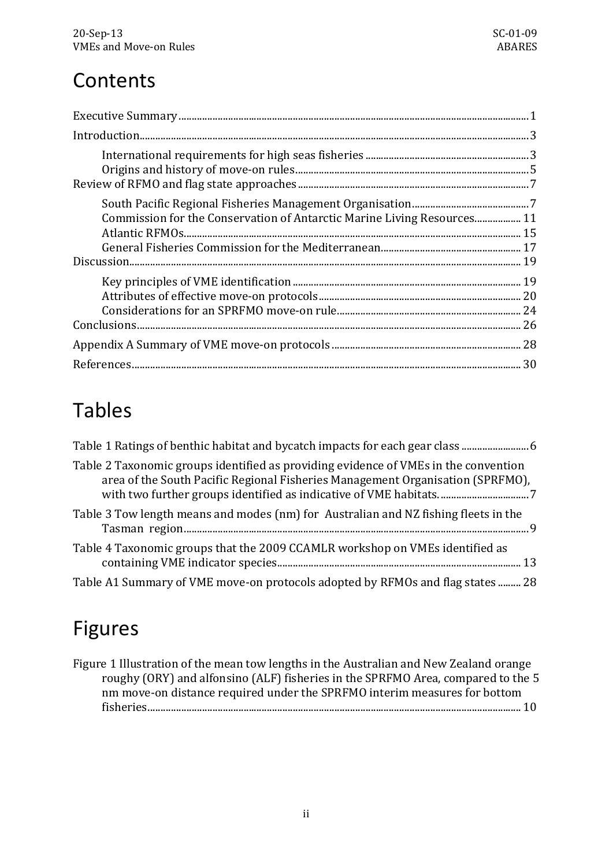# **Contents**

| Commission for the Conservation of Antarctic Marine Living Resources 11 |  |
|-------------------------------------------------------------------------|--|
|                                                                         |  |
|                                                                         |  |
|                                                                         |  |

# Tables

| Table 2 Taxonomic groups identified as providing evidence of VMEs in the convention<br>area of the South Pacific Regional Fisheries Management Organisation (SPRFMO), |
|-----------------------------------------------------------------------------------------------------------------------------------------------------------------------|
| Table 3 Tow length means and modes (nm) for Australian and NZ fishing fleets in the                                                                                   |
| Table 4 Taxonomic groups that the 2009 CCAMLR workshop on VMEs identified as                                                                                          |
| Table A1 Summary of VME move-on protocols adopted by RFMOs and flag states 28                                                                                         |

# Figures

| Figure 1 Illustration of the mean tow lengths in the Australian and New Zealand orange |  |
|----------------------------------------------------------------------------------------|--|
| roughy (ORY) and alfonsino (ALF) fisheries in the SPRFMO Area, compared to the 5       |  |
| nm move-on distance required under the SPRFMO interim measures for bottom              |  |
|                                                                                        |  |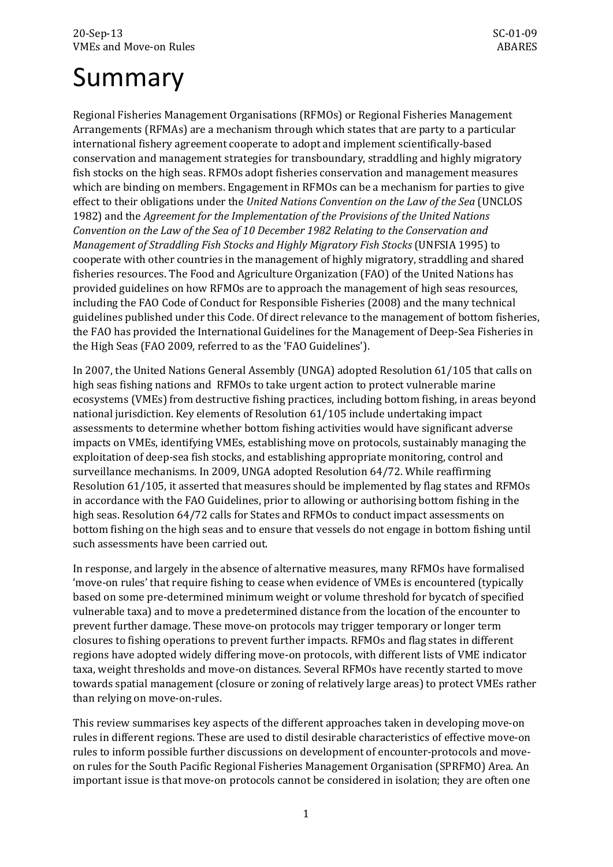# <span id="page-4-0"></span>Summary

Regional Fisheries Management Organisations (RFMOs) or Regional Fisheries Management Arrangements (RFMAs) are a mechanism through which states that are party to a particular international fishery agreement cooperate to adopt and implement scientifically-based conservation and management strategies for transboundary, straddling and highly migratory fish stocks on the high seas. RFMOs adopt fisheries conservation and management measures which are binding on members. Engagement in RFMOs can be a mechanism for parties to give effect to their obligations under the *United Nations Convention on the Law of the Sea* (UNCLOS 1982) and the *Agreement for the Implementation of the Provisions of the United Nations Convention on the Law of the Sea of 10 December 1982 Relating to the Conservation and Management of Straddling Fish Stocks and Highly Migratory Fish Stocks* (UNFSIA 1995) to cooperate with other countries in the management of highly migratory, straddling and shared fisheries resources. The Food and Agriculture Organization (FAO) of the United Nations has provided guidelines on how RFMOs are to approach the management of high seas resources, including the FAO Code of Conduct for Responsible Fisheries (2008) and the many technical guidelines published under this Code. Of direct relevance to the management of bottom fisheries, the FAO has provided the International Guidelines for the Management of Deep-Sea Fisheries in the High Seas (FAO 2009, referred to as the 'FAO Guidelines').

In 2007, the United Nations General Assembly (UNGA) adopted Resolution 61/105 that calls on high seas fishing nations and RFMOs to take urgent action to protect vulnerable marine ecosystems (VMEs) from destructive fishing practices, including bottom fishing, in areas beyond national jurisdiction. Key elements of Resolution 61/105 include undertaking impact assessments to determine whether bottom fishing activities would have significant adverse impacts on VMEs, identifying VMEs, establishing move on protocols, sustainably managing the exploitation of deep-sea fish stocks, and establishing appropriate monitoring, control and surveillance mechanisms. In 2009, UNGA adopted Resolution 64/72. While reaffirming Resolution 61/105, it asserted that measures should be implemented by flag states and RFMOs in accordance with the FAO Guidelines, prior to allowing or authorising bottom fishing in the high seas. Resolution 64/72 calls for States and RFMOs to conduct impact assessments on bottom fishing on the high seas and to ensure that vessels do not engage in bottom fishing until such assessments have been carried out.

In response, and largely in the absence of alternative measures, many RFMOs have formalised 'move-on rules' that require fishing to cease when evidence of VMEs is encountered (typically based on some pre-determined minimum weight or volume threshold for bycatch of specified vulnerable taxa) and to move a predetermined distance from the location of the encounter to prevent further damage. These move-on protocols may trigger temporary or longer term closures to fishing operations to prevent further impacts. RFMOs and flag states in different regions have adopted widely differing move-on protocols, with different lists of VME indicator taxa, weight thresholds and move-on distances. Several RFMOs have recently started to move towards spatial management (closure or zoning of relatively large areas) to protect VMEs rather than relying on move-on-rules.

This review summarises key aspects of the different approaches taken in developing move-on rules in different regions. These are used to distil desirable characteristics of effective move-on rules to inform possible further discussions on development of encounter-protocols and moveon rules for the South Pacific Regional Fisheries Management Organisation (SPRFMO) Area. An important issue is that move-on protocols cannot be considered in isolation; they are often one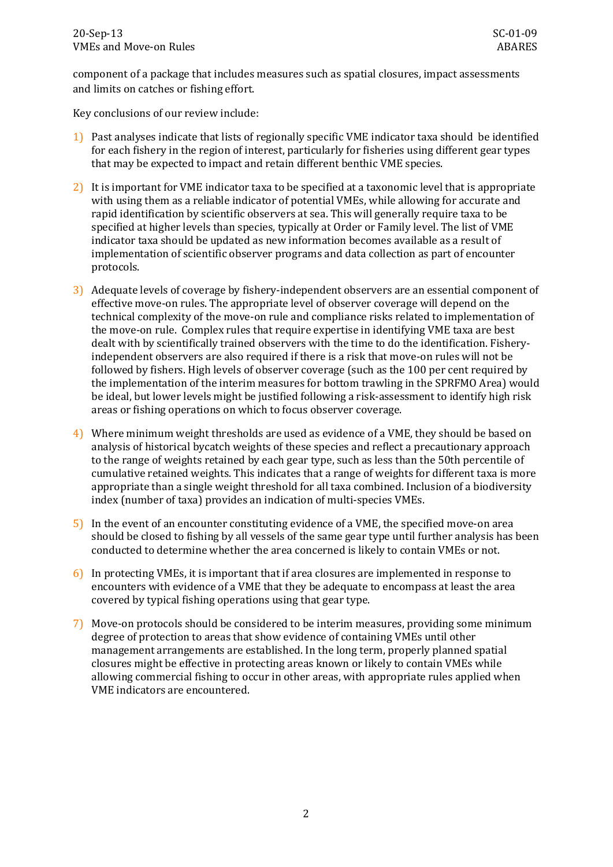component of a package that includes measures such as spatial closures, impact assessments and limits on catches or fishing effort.

Key conclusions of our review include:

- 1) Past analyses indicate that lists of regionally specific VME indicator taxa should be identified for each fishery in the region of interest, particularly for fisheries using different gear types that may be expected to impact and retain different benthic VME species.
- 2) It is important for VME indicator taxa to be specified at a taxonomic level that is appropriate with using them as a reliable indicator of potential VMEs, while allowing for accurate and rapid identification by scientific observers at sea. This will generally require taxa to be specified at higher levels than species, typically at Order or Family level. The list of VME indicator taxa should be updated as new information becomes available as a result of implementation of scientific observer programs and data collection as part of encounter protocols.
- 3) Adequate levels of coverage by fishery-independent observers are an essential component of effective move-on rules. The appropriate level of observer coverage will depend on the technical complexity of the move-on rule and compliance risks related to implementation of the move-on rule. Complex rules that require expertise in identifying VME taxa are best dealt with by scientifically trained observers with the time to do the identification. Fisheryindependent observers are also required if there is a risk that move-on rules will not be followed by fishers. High levels of observer coverage (such as the 100 per cent required by the implementation of the interim measures for bottom trawling in the SPRFMO Area) would be ideal, but lower levels might be justified following a risk-assessment to identify high risk areas or fishing operations on which to focus observer coverage.
- 4) Where minimum weight thresholds are used as evidence of a VME, they should be based on analysis of historical bycatch weights of these species and reflect a precautionary approach to the range of weights retained by each gear type, such as less than the 50th percentile of cumulative retained weights. This indicates that a range of weights for different taxa is more appropriate than a single weight threshold for all taxa combined. Inclusion of a biodiversity index (number of taxa) provides an indication of multi-species VMEs.
- 5) In the event of an encounter constituting evidence of a VME, the specified move-on area should be closed to fishing by all vessels of the same gear type until further analysis has been conducted to determine whether the area concerned is likely to contain VMEs or not.
- 6) In protecting VMEs, it is important that if area closures are implemented in response to encounters with evidence of a VME that they be adequate to encompass at least the area covered by typical fishing operations using that gear type.
- 7) Move-on protocols should be considered to be interim measures, providing some minimum degree of protection to areas that show evidence of containing VMEs until other management arrangements are established. In the long term, properly planned spatial closures might be effective in protecting areas known or likely to contain VMEs while allowing commercial fishing to occur in other areas, with appropriate rules applied when VME indicators are encountered.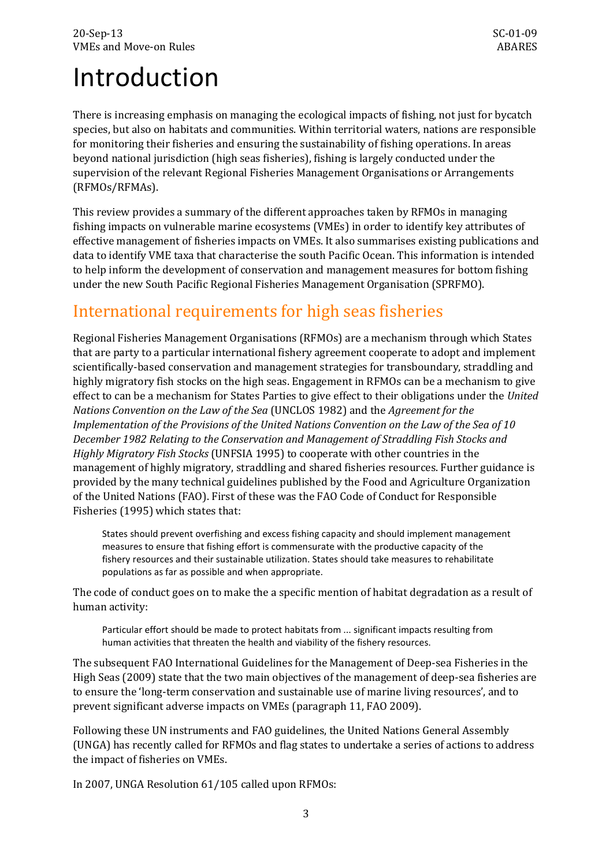# <span id="page-6-0"></span>Introduction

There is increasing emphasis on managing the ecological impacts of fishing, not just for bycatch species, but also on habitats and communities. Within territorial waters, nations are responsible for monitoring their fisheries and ensuring the sustainability of fishing operations. In areas beyond national jurisdiction (high seas fisheries), fishing is largely conducted under the supervision of the relevant Regional Fisheries Management Organisations or Arrangements (RFMOs/RFMAs).

This review provides a summary of the different approaches taken by RFMOs in managing fishing impacts on vulnerable marine ecosystems (VMEs) in order to identify key attributes of effective management of fisheries impacts on VMEs. It also summarises existing publications and data to identify VME taxa that characterise the south Pacific Ocean. This information is intended to help inform the development of conservation and management measures for bottom fishing under the new South Pacific Regional Fisheries Management Organisation (SPRFMO).

# <span id="page-6-1"></span>International requirements for high seas fisheries

Regional Fisheries Management Organisations (RFMOs) are a mechanism through which States that are party to a particular international fishery agreement cooperate to adopt and implement scientifically-based conservation and management strategies for transboundary, straddling and highly migratory fish stocks on the high seas. Engagement in RFMOs can be a mechanism to give effect to can be a mechanism for States Parties to give effect to their obligations under the *United Nations Convention on the Law of the Sea* (UNCLOS 1982) and the *Agreement for the Implementation of the Provisions of the United Nations Convention on the Law of the Sea of 10 December 1982 Relating to the Conservation and Management of Straddling Fish Stocks and Highly Migratory Fish Stocks* (UNFSIA 1995) to cooperate with other countries in the management of highly migratory, straddling and shared fisheries resources. Further guidance is provided by the many technical guidelines published by the Food and Agriculture Organization of the United Nations (FAO). First of these was the FAO Code of Conduct for Responsible Fisheries (1995) which states that:

States should prevent overfishing and excess fishing capacity and should implement management measures to ensure that fishing effort is commensurate with the productive capacity of the fishery resources and their sustainable utilization. States should take measures to rehabilitate populations as far as possible and when appropriate.

The code of conduct goes on to make the a specific mention of habitat degradation as a result of human activity:

Particular effort should be made to protect habitats from ... significant impacts resulting from human activities that threaten the health and viability of the fishery resources.

The subsequent FAO International Guidelines for the Management of Deep-sea Fisheries in the High Seas (2009) state that the two main objectives of the management of deep-sea fisheries are to ensure the 'long-term conservation and sustainable use of marine living resources', and to prevent significant adverse impacts on VMEs (paragraph 11, FAO 2009).

Following these UN instruments and FAO guidelines, the United Nations General Assembly (UNGA) has recently called for RFMOs and flag states to undertake a series of actions to address the impact of fisheries on VMEs.

In 2007, UNGA Resolution 61/105 called upon RFMOs: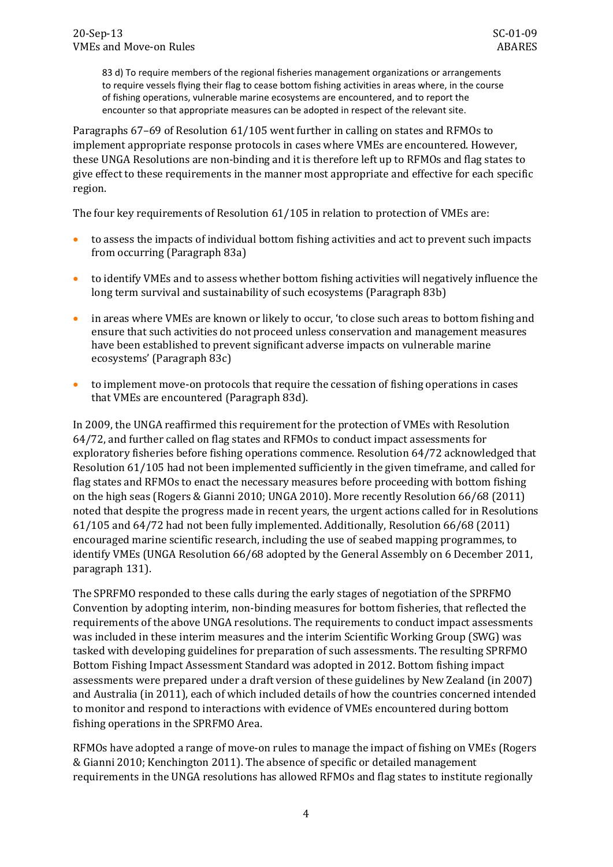83 d) To require members of the regional fisheries management organizations or arrangements to require vessels flying their flag to cease bottom fishing activities in areas where, in the course of fishing operations, vulnerable marine ecosystems are encountered, and to report the encounter so that appropriate measures can be adopted in respect of the relevant site.

Paragraphs 67–69 of Resolution 61/105 went further in calling on states and RFMOs to implement appropriate response protocols in cases where VMEs are encountered. However, these UNGA Resolutions are non-binding and it is therefore left up to RFMOs and flag states to give effect to these requirements in the manner most appropriate and effective for each specific region.

The four key requirements of Resolution 61/105 in relation to protection of VMEs are:

- to assess the impacts of individual bottom fishing activities and act to prevent such impacts from occurring (Paragraph 83a)
- to identify VMEs and to assess whether bottom fishing activities will negatively influence the long term survival and sustainability of such ecosystems (Paragraph 83b)
- in areas where VMEs are known or likely to occur, 'to close such areas to bottom fishing and ensure that such activities do not proceed unless conservation and management measures have been established to prevent significant adverse impacts on vulnerable marine ecosystems' (Paragraph 83c)
- to implement move-on protocols that require the cessation of fishing operations in cases that VMEs are encountered (Paragraph 83d).

In 2009, the UNGA reaffirmed this requirement for the protection of VMEs with Resolution 64/72, and further called on flag states and RFMOs to conduct impact assessments for exploratory fisheries before fishing operations commence. Resolution 64/72 acknowledged that Resolution 61/105 had not been implemented sufficiently in the given timeframe, and called for flag states and RFMOs to enact the necessary measures before proceeding with bottom fishing on the high seas (Rogers & Gianni 2010; UNGA 2010). More recently Resolution 66/68 (2011) noted that despite the progress made in recent years, the urgent actions called for in Resolutions 61/105 and 64/72 had not been fully implemented. Additionally, Resolution 66/68 (2011) encouraged marine scientific research, including the use of seabed mapping programmes, to identify VMEs (UNGA Resolution 66/68 adopted by the General Assembly on 6 December 2011, paragraph 131).

The SPRFMO responded to these calls during the early stages of negotiation of the SPRFMO Convention by adopting interim, non-binding measures for bottom fisheries, that reflected the requirements of the above UNGA resolutions. The requirements to conduct impact assessments was included in these interim measures and the interim Scientific Working Group (SWG) was tasked with developing guidelines for preparation of such assessments. The resulting SPRFMO Bottom Fishing Impact Assessment Standard was adopted in 2012. Bottom fishing impact assessments were prepared under a draft version of these guidelines by New Zealand (in 2007) and Australia (in 2011), each of which included details of how the countries concerned intended to monitor and respond to interactions with evidence of VMEs encountered during bottom fishing operations in the SPRFMO Area.

RFMOs have adopted a range of move-on rules to manage the impact of fishing on VMEs (Rogers & Gianni 2010; Kenchington 2011). The absence of specific or detailed management requirements in the UNGA resolutions has allowed RFMOs and flag states to institute regionally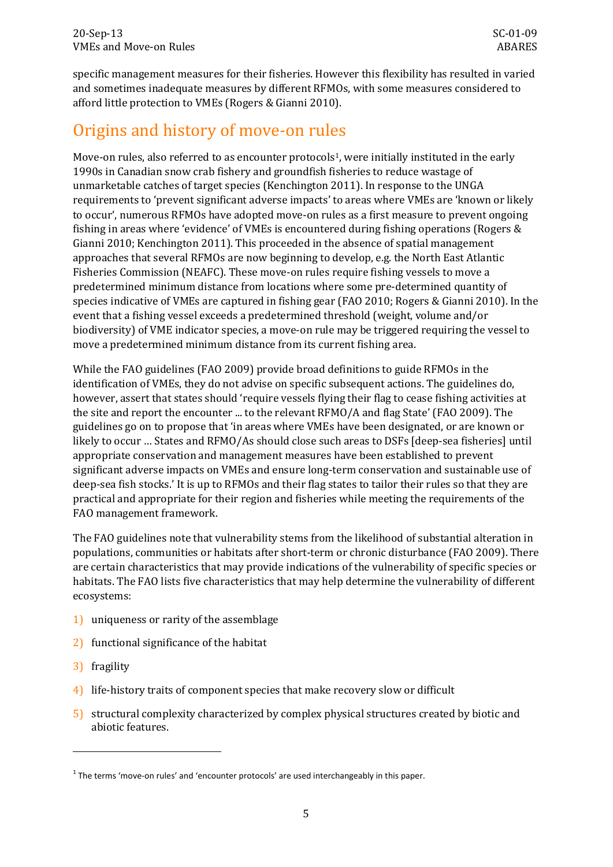specific management measures for their fisheries. However this flexibility has resulted in varied and sometimes inadequate measures by different RFMOs, with some measures considered to afford little protection to VMEs (Rogers & Gianni 2010).

# <span id="page-8-0"></span>Origins and history of move-on rules

Move-on rules, also referred to as encounter protocols<sup>1</sup>, were initially instituted in the early 1990s in Canadian snow crab fishery and groundfish fisheries to reduce wastage of unmarketable catches of target species (Kenchington 2011). In response to the UNGA requirements to 'prevent significant adverse impacts' to areas where VMEs are 'known or likely to occur', numerous RFMOs have adopted move-on rules as a first measure to prevent ongoing fishing in areas where 'evidence' of VMEs is encountered during fishing operations (Rogers & Gianni 2010; Kenchington 2011). This proceeded in the absence of spatial management approaches that several RFMOs are now beginning to develop, e.g. the North East Atlantic Fisheries Commission (NEAFC). These move-on rules require fishing vessels to move a predetermined minimum distance from locations where some pre-determined quantity of species indicative of VMEs are captured in fishing gear (FAO 2010; Rogers & Gianni 2010). In the event that a fishing vessel exceeds a predetermined threshold (weight, volume and/or biodiversity) of VME indicator species, a move-on rule may be triggered requiring the vessel to move a predetermined minimum distance from its current fishing area.

While the FAO guidelines (FAO 2009) provide broad definitions to guide RFMOs in the identification of VMEs, they do not advise on specific subsequent actions. The guidelines do, however, assert that states should 'require vessels flying their flag to cease fishing activities at the site and report the encounter ... to the relevant RFMO/A and flag State' (FAO 2009). The guidelines go on to propose that 'in areas where VMEs have been designated, or are known or likely to occur … States and RFMO/As should close such areas to DSFs [deep-sea fisheries] until appropriate conservation and management measures have been established to prevent significant adverse impacts on VMEs and ensure long-term conservation and sustainable use of deep-sea fish stocks.' It is up to RFMOs and their flag states to tailor their rules so that they are practical and appropriate for their region and fisheries while meeting the requirements of the FAO management framework.

The FAO guidelines note that vulnerability stems from the likelihood of substantial alteration in populations, communities or habitats after short-term or chronic disturbance (FAO 2009). There are certain characteristics that may provide indications of the vulnerability of specific species or habitats. The FAO lists five characteristics that may help determine the vulnerability of different ecosystems:

- 1) uniqueness or rarity of the assemblage
- 2) functional significance of the habitat
- 3) fragility

-

- 4) life-history traits of component species that make recovery slow or difficult
- 5) structural complexity characterized by complex physical structures created by biotic and abiotic features.

<span id="page-8-1"></span> $1$  The terms 'move-on rules' and 'encounter protocols' are used interchangeably in this paper.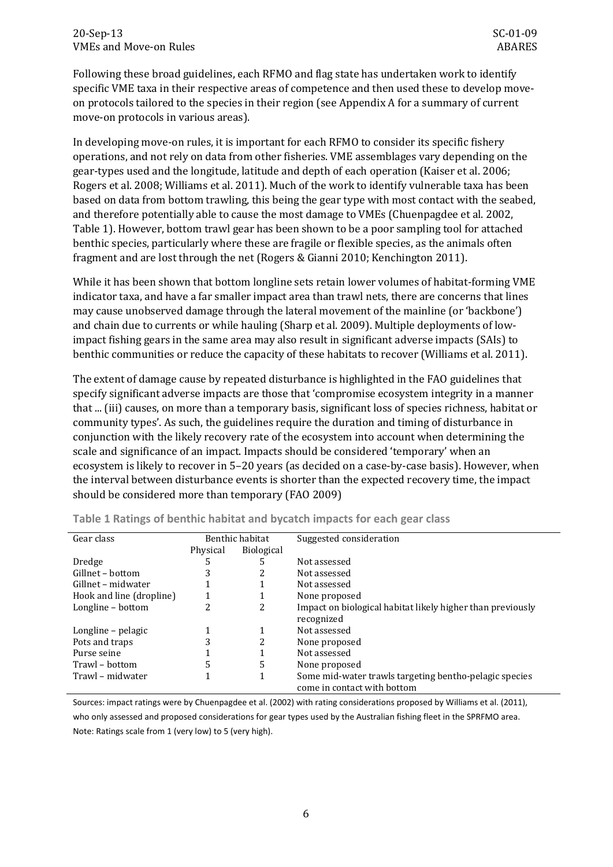Following these broad guidelines, each RFMO and flag state has undertaken work to identify specific VME taxa in their respective areas of competence and then used these to develop moveon protocols tailored to the species in their region (see Appendix A for a summary of current move-on protocols in various areas).

In developing move-on rules, it is important for each RFMO to consider its specific fishery operations, and not rely on data from other fisheries. VME assemblages vary depending on the gear-types used and the longitude, latitude and depth of each operation (Kaiser et al. 2006; Rogers et al. 2008; Williams et al. 2011). Much of the work to identify vulnerable taxa has been based on data from bottom trawling, this being the gear type with most contact with the seabed, and therefore potentially able to cause the most damage to VMEs (Chuenpagdee et al. 2002, [Table 1\)](#page-9-0). However, bottom trawl gear has been shown to be a poor sampling tool for attached benthic species, particularly where these are fragile or flexible species, as the animals often fragment and are lost through the net (Rogers & Gianni 2010; Kenchington 2011).

While it has been shown that bottom longline sets retain lower volumes of habitat-forming VME indicator taxa, and have a far smaller impact area than trawl nets, there are concerns that lines may cause unobserved damage through the lateral movement of the mainline (or 'backbone') and chain due to currents or while hauling (Sharp et al. 2009). Multiple deployments of lowimpact fishing gears in the same area may also result in significant adverse impacts (SAIs) to benthic communities or reduce the capacity of these habitats to recover (Williams et al. 2011).

The extent of damage cause by repeated disturbance is highlighted in the FAO guidelines that specify significant adverse impacts are those that 'compromise ecosystem integrity in a manner that ... (iii) causes, on more than a temporary basis, significant loss of species richness, habitat or community types'. As such, the guidelines require the duration and timing of disturbance in conjunction with the likely recovery rate of the ecosystem into account when determining the scale and significance of an impact. Impacts should be considered 'temporary' when an ecosystem is likely to recover in 5–20 years (as decided on a case-by-case basis). However, when the interval between disturbance events is shorter than the expected recovery time, the impact should be considered more than temporary (FAO 2009)

| Gear class               | Benthic habitat |            | Suggested consideration                                    |
|--------------------------|-----------------|------------|------------------------------------------------------------|
|                          | Physical        | Biological |                                                            |
| Dredge                   | 5               |            | Not assessed                                               |
| Gillnet - bottom         | 3               |            | Not assessed                                               |
| Gillnet – midwater       |                 |            | Not assessed                                               |
| Hook and line (dropline) |                 |            | None proposed                                              |
| Longline - bottom        |                 | 2          | Impact on biological habitat likely higher than previously |
|                          |                 |            | recognized                                                 |
| Longline – pelagic       |                 |            | Not assessed                                               |
| Pots and traps           |                 | 2          | None proposed                                              |
| Purse seine              |                 |            | Not assessed                                               |
| Trawl – bottom           | 5               | 5          | None proposed                                              |
| Trawl – midwater         |                 |            | Some mid-water trawls targeting bentho-pelagic species     |
|                          |                 |            | come in contact with bottom                                |

<span id="page-9-0"></span>

| Table 1 Ratings of benthic habitat and bycatch impacts for each gear class |  |  |  |  |  |  |  |  |  |
|----------------------------------------------------------------------------|--|--|--|--|--|--|--|--|--|
|----------------------------------------------------------------------------|--|--|--|--|--|--|--|--|--|

Sources: impact ratings were by Chuenpagdee et al. (2002) with rating considerations proposed by Williams et al. (2011), who only assessed and proposed considerations for gear types used by the Australian fishing fleet in the SPRFMO area. Note: Ratings scale from 1 (very low) to 5 (very high).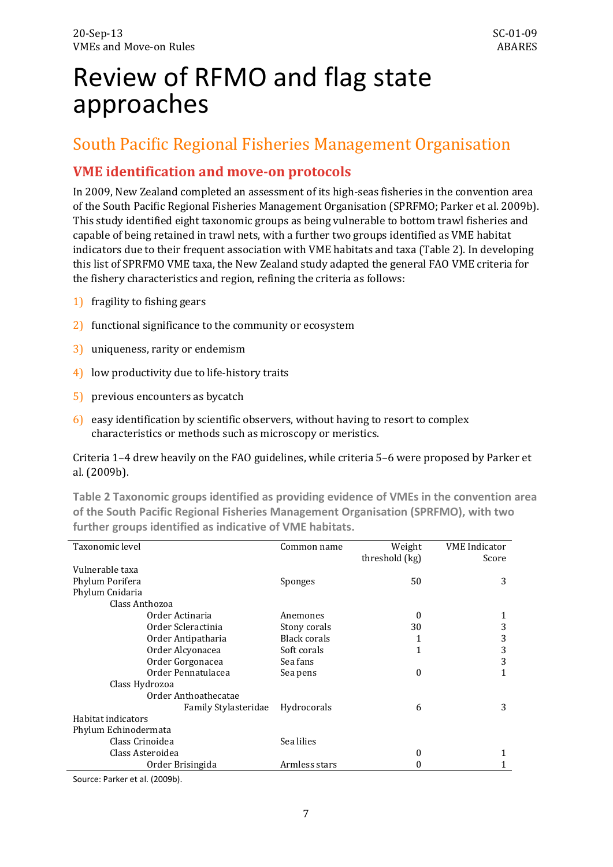# <span id="page-10-0"></span>Review of RFMO and flag state approaches

## <span id="page-10-1"></span>South Pacific Regional Fisheries Management Organisation

## **VME identification and move-on protocols**

In 2009, New Zealand completed an assessment of its high-seas fisheries in the convention area of the South Pacific Regional Fisheries Management Organisation (SPRFMO; Parker et al. 2009b). This study identified eight taxonomic groups as being vulnerable to bottom trawl fisheries and capable of being retained in trawl nets, with a further two groups identified as VME habitat indicators due to their frequent association with VME habitats and taxa [\(Table 2\)](#page-10-2). In developing this list of SPRFMO VME taxa, the New Zealand study adapted the general FAO VME criteria for the fishery characteristics and region, refining the criteria as follows:

- 1) fragility to fishing gears
- 2) functional significance to the community or ecosystem
- 3) uniqueness, rarity or endemism
- 4) low productivity due to life-history traits
- 5) previous encounters as bycatch
- 6) easy identification by scientific observers, without having to resort to complex characteristics or methods such as microscopy or meristics.

Criteria 1–4 drew heavily on the FAO guidelines, while criteria 5–6 were proposed by Parker et al. (2009b).

<span id="page-10-2"></span>**Table 2 Taxonomic groups identified as providing evidence of VMEs in the convention area of the South Pacific Regional Fisheries Management Organisation (SPRFMO), with two further groups identified as indicative of VME habitats.**

| Taxonomic level      |                      | Common name   | Weight         | <b>VME</b> Indicator |
|----------------------|----------------------|---------------|----------------|----------------------|
|                      |                      |               | threshold (kg) | Score                |
| Vulnerable taxa      |                      |               |                |                      |
| Phylum Porifera      |                      | Sponges       | 50             | 3                    |
| Phylum Cnidaria      |                      |               |                |                      |
| Class Anthozoa       |                      |               |                |                      |
|                      | Order Actinaria      | Anemones      | $\Omega$       |                      |
|                      | Order Scleractinia   | Stony corals  | 30             | 3                    |
|                      | Order Antipatharia   | Black corals  | 1              | 3                    |
|                      | Order Alcyonacea     | Soft corals   | $\mathbf{1}$   | 3                    |
|                      | Order Gorgonacea     | Sea fans      |                | 3                    |
|                      | Order Pennatulacea   | Sea pens      | $\Omega$       |                      |
| Class Hydrozoa       |                      |               |                |                      |
|                      | Order Anthoathecatae |               |                |                      |
|                      | Family Stylasteridae | Hydrocorals   | 6              | 3                    |
| Habitat indicators   |                      |               |                |                      |
| Phylum Echinodermata |                      |               |                |                      |
| Class Crinoidea      |                      | Sea lilies    |                |                      |
|                      | Class Asteroidea     |               | $\mathbf{0}$   |                      |
|                      | Order Brisingida     | Armless stars | 0              |                      |

Source: Parker et al. (2009b).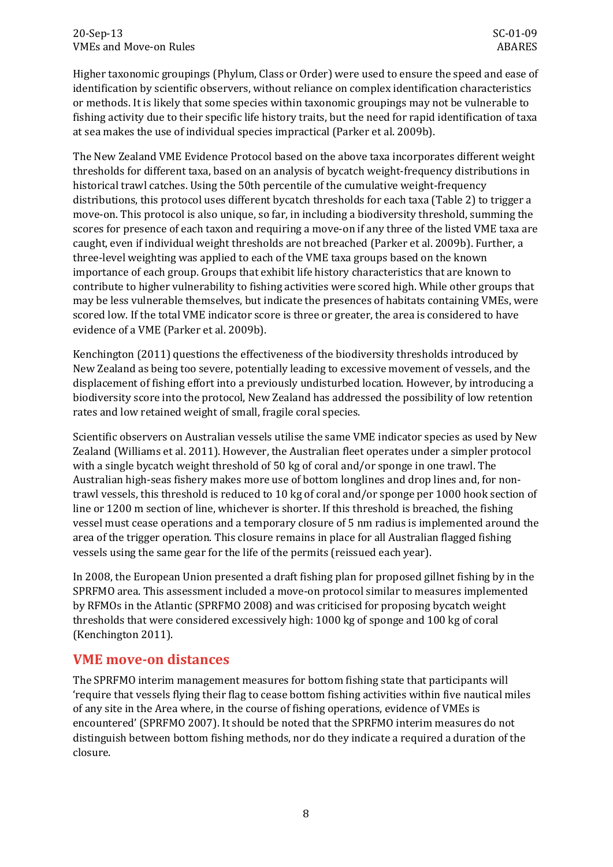Higher taxonomic groupings (Phylum, Class or Order) were used to ensure the speed and ease of identification by scientific observers, without reliance on complex identification characteristics or methods. It is likely that some species within taxonomic groupings may not be vulnerable to fishing activity due to their specific life history traits, but the need for rapid identification of taxa at sea makes the use of individual species impractical (Parker et al. 2009b).

The New Zealand VME Evidence Protocol based on the above taxa incorporates different weight thresholds for different taxa, based on an analysis of bycatch weight-frequency distributions in historical trawl catches. Using the 50th percentile of the cumulative weight-frequency distributions, this protocol uses different bycatch thresholds for each taxa (Table 2) to trigger a move-on. This protocol is also unique, so far, in including a biodiversity threshold, summing the scores for presence of each taxon and requiring a move-on if any three of the listed VME taxa are caught, even if individual weight thresholds are not breached (Parker et al. 2009b). Further, a three-level weighting was applied to each of the VME taxa groups based on the known importance of each group. Groups that exhibit life history characteristics that are known to contribute to higher vulnerability to fishing activities were scored high. While other groups that may be less vulnerable themselves, but indicate the presences of habitats containing VMEs, were scored low. If the total VME indicator score is three or greater, the area is considered to have evidence of a VME (Parker et al. 2009b).

Kenchington (2011) questions the effectiveness of the biodiversity thresholds introduced by New Zealand as being too severe, potentially leading to excessive movement of vessels, and the displacement of fishing effort into a previously undisturbed location. However, by introducing a biodiversity score into the protocol, New Zealand has addressed the possibility of low retention rates and low retained weight of small, fragile coral species.

Scientific observers on Australian vessels utilise the same VME indicator species as used by New Zealand (Williams et al. 2011). However, the Australian fleet operates under a simpler protocol with a single bycatch weight threshold of 50 kg of coral and/or sponge in one trawl. The Australian high-seas fishery makes more use of bottom longlines and drop lines and, for nontrawl vessels, this threshold is reduced to 10 kg of coral and/or sponge per 1000 hook section of line or 1200 m section of line, whichever is shorter. If this threshold is breached, the fishing vessel must cease operations and a temporary closure of 5 nm radius is implemented around the area of the trigger operation. This closure remains in place for all Australian flagged fishing vessels using the same gear for the life of the permits (reissued each year).

In 2008, the European Union presented a draft fishing plan for proposed gillnet fishing by in the SPRFMO area. This assessment included a move-on protocol similar to measures implemented by RFMOs in the Atlantic (SPRFMO 2008) and was criticised for proposing bycatch weight thresholds that were considered excessively high: 1000 kg of sponge and 100 kg of coral (Kenchington 2011).

### **VME move-on distances**

The SPRFMO interim management measures for bottom fishing state that participants will 'require that vessels flying their flag to cease bottom fishing activities within five nautical miles of any site in the Area where, in the course of fishing operations, evidence of VMEs is encountered' (SPRFMO 2007). It should be noted that the SPRFMO interim measures do not distinguish between bottom fishing methods, nor do they indicate a required a duration of the closure.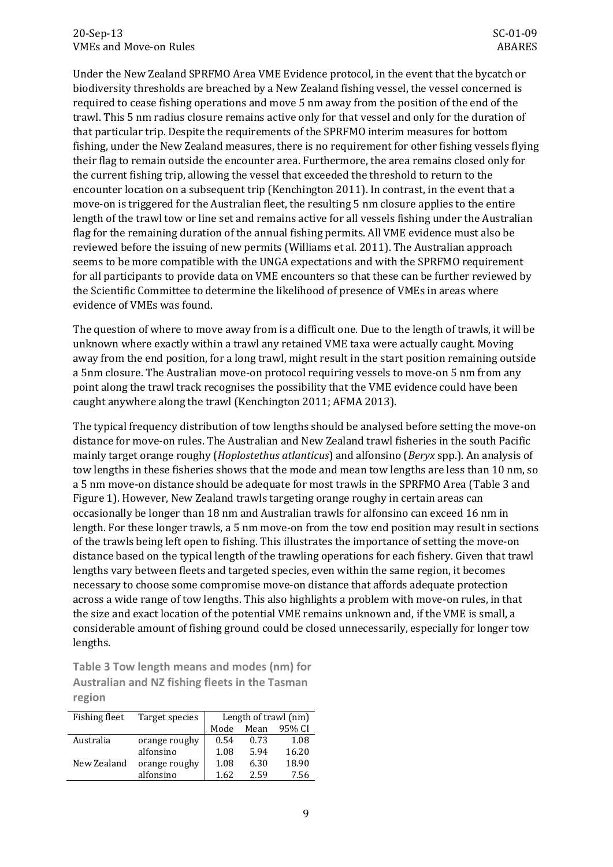Under the New Zealand SPRFMO Area VME Evidence protocol, in the event that the bycatch or biodiversity thresholds are breached by a New Zealand fishing vessel, the vessel concerned is required to cease fishing operations and move 5 nm away from the position of the end of the trawl. This 5 nm radius closure remains active only for that vessel and only for the duration of that particular trip. Despite the requirements of the SPRFMO interim measures for bottom fishing, under the New Zealand measures, there is no requirement for other fishing vessels flying their flag to remain outside the encounter area. Furthermore, the area remains closed only for the current fishing trip, allowing the vessel that exceeded the threshold to return to the encounter location on a subsequent trip (Kenchington 2011). In contrast, in the event that a move-on is triggered for the Australian fleet, the resulting 5 nm closure applies to the entire length of the trawl tow or line set and remains active for all vessels fishing under the Australian flag for the remaining duration of the annual fishing permits. All VME evidence must also be reviewed before the issuing of new permits (Williams et al. 2011). The Australian approach seems to be more compatible with the UNGA expectations and with the SPRFMO requirement for all participants to provide data on VME encounters so that these can be further reviewed by the Scientific Committee to determine the likelihood of presence of VMEs in areas where evidence of VMEs was found.

The question of where to move away from is a difficult one. Due to the length of trawls, it will be unknown where exactly within a trawl any retained VME taxa were actually caught. Moving away from the end position, for a long trawl, might result in the start position remaining outside a 5nm closure. The Australian move-on protocol requiring vessels to move-on 5 nm from any point along the trawl track recognises the possibility that the VME evidence could have been caught anywhere along the trawl (Kenchington 2011; AFMA 2013).

The typical frequency distribution of tow lengths should be analysed before setting the move-on distance for move-on rules. The Australian and New Zealand trawl fisheries in the south Pacific mainly target orange roughy (*Hoplostethus atlanticus*) and alfonsino (*Beryx* spp.). An analysis of tow lengths in these fisheries shows that the mode and mean tow lengths are less than 10 nm, so a 5 nm move-on distance should be adequate for most trawls in the SPRFMO Area [\(Table 3](#page-12-0) and [Figure 1\)](#page-13-0). However, New Zealand trawls targeting orange roughy in certain areas can occasionally be longer than 18 nm and Australian trawls for alfonsino can exceed 16 nm in length. For these longer trawls, a 5 nm move-on from the tow end position may result in sections of the trawls being left open to fishing. This illustrates the importance of setting the move-on distance based on the typical length of the trawling operations for each fishery. Given that trawl lengths vary between fleets and targeted species, even within the same region, it becomes necessary to choose some compromise move-on distance that affords adequate protection across a wide range of tow lengths. This also highlights a problem with move-on rules, in that the size and exact location of the potential VME remains unknown and, if the VME is small, a considerable amount of fishing ground could be closed unnecessarily, especially for longer tow lengths.

<span id="page-12-0"></span>**Table 3 Tow length means and modes (nm) for Australian and NZ fishing fleets in the Tasman region**

| <b>Fishing fleet</b> | Target species | Length of trawl (nm) |      |        |  |  |
|----------------------|----------------|----------------------|------|--------|--|--|
|                      |                | Mode                 | Mean | 95% CI |  |  |
| Australia            | orange roughy  | 0.54                 | 0.73 | 1.08   |  |  |
|                      | alfonsino      | 1.08                 | 5.94 | 16.20  |  |  |
| New Zealand          | orange roughy  | 1.08                 | 6.30 | 18.90  |  |  |
|                      | alfonsino      | 1.62                 | 2.59 | 7.56   |  |  |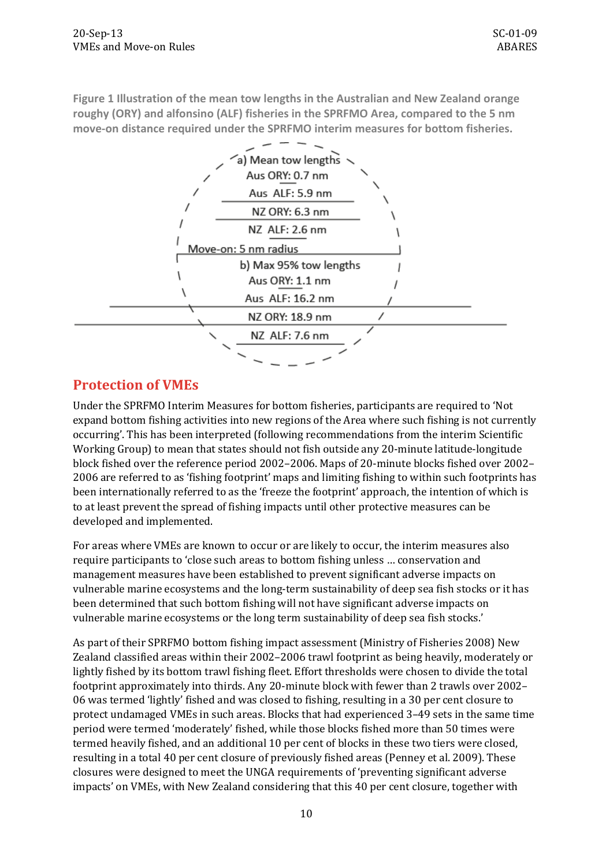<span id="page-13-0"></span>**Figure 1 Illustration of the mean tow lengths in the Australian and New Zealand orange roughy (ORY) and alfonsino (ALF) fisheries in the SPRFMO Area, compared to the 5 nm move-on distance required under the SPRFMO interim measures for bottom fisheries.**



## **Protection of VMEs**

Under the SPRFMO Interim Measures for bottom fisheries, participants are required to 'Not expand bottom fishing activities into new regions of the Area where such fishing is not currently occurring'. This has been interpreted (following recommendations from the interim Scientific Working Group) to mean that states should not fish outside any 20-minute latitude-longitude block fished over the reference period 2002–2006. Maps of 20-minute blocks fished over 2002– 2006 are referred to as 'fishing footprint' maps and limiting fishing to within such footprints has been internationally referred to as the 'freeze the footprint' approach, the intention of which is to at least prevent the spread of fishing impacts until other protective measures can be developed and implemented.

For areas where VMEs are known to occur or are likely to occur, the interim measures also require participants to 'close such areas to bottom fishing unless … conservation and management measures have been established to prevent significant adverse impacts on vulnerable marine ecosystems and the long-term sustainability of deep sea fish stocks or it has been determined that such bottom fishing will not have significant adverse impacts on vulnerable marine ecosystems or the long term sustainability of deep sea fish stocks.'

As part of their SPRFMO bottom fishing impact assessment (Ministry of Fisheries 2008) New Zealand classified areas within their 2002–2006 trawl footprint as being heavily, moderately or lightly fished by its bottom trawl fishing fleet. Effort thresholds were chosen to divide the total footprint approximately into thirds. Any 20-minute block with fewer than 2 trawls over 2002– 06 was termed 'lightly' fished and was closed to fishing, resulting in a 30 per cent closure to protect undamaged VMEs in such areas. Blocks that had experienced 3–49 sets in the same time period were termed 'moderately' fished, while those blocks fished more than 50 times were termed heavily fished, and an additional 10 per cent of blocks in these two tiers were closed, resulting in a total 40 per cent closure of previously fished areas (Penney et al. 2009). These closures were designed to meet the UNGA requirements of 'preventing significant adverse impacts' on VMEs, with New Zealand considering that this 40 per cent closure, together with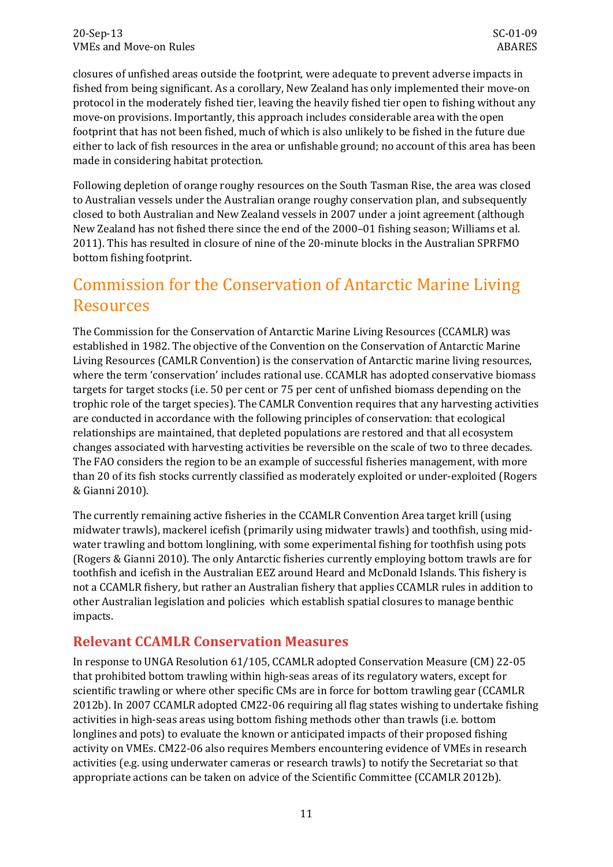closures of unfished areas outside the footprint, were adequate to prevent adverse impacts in fished from being significant. As a corollary, New Zealand has only implemented their move-on protocol in the moderately fished tier, leaving the heavily fished tier open to fishing without any move-on provisions. Importantly, this approach includes considerable area with the open footprint that has not been fished, much of which is also unlikely to be fished in the future due either to lack of fish resources in the area or unfishable ground; no account of this area has been made in considering habitat protection.

Following depletion of orange roughy resources on the South Tasman Rise, the area was closed to Australian vessels under the Australian orange roughy conservation plan, and subsequently closed to both Australian and New Zealand vessels in 2007 under a joint agreement (although New Zealand has not fished there since the end of the 2000–01 fishing season; Williams et al. 2011). This has resulted in closure of nine of the 20-minute blocks in the Australian SPRFMO bottom fishing footprint.

# <span id="page-14-0"></span>Commission for the Conservation of Antarctic Marine Living Resources

The Commission for the Conservation of Antarctic Marine Living Resources (CCAMLR) was established in 1982. The objective of the Convention on the Conservation of Antarctic Marine Living Resources (CAMLR Convention) is the conservation of Antarctic marine living resources, where the term 'conservation' includes rational use. CCAMLR has adopted conservative biomass targets for target stocks (i.e. 50 per cent or 75 per cent of unfished biomass depending on the trophic role of the target species). The CAMLR Convention requires that any harvesting activities are conducted in accordance with the following principles of conservation: that ecological relationships are maintained, that depleted populations are restored and that all ecosystem changes associated with harvesting activities be reversible on the scale of two to three decades. The FAO considers the region to be an example of successful fisheries management, with more than 20 of its fish stocks currently classified as moderately exploited or under-exploited (Rogers & Gianni 2010).

The currently remaining active fisheries in the CCAMLR Convention Area target krill (using midwater trawls), mackerel icefish (primarily using midwater trawls) and toothfish, using midwater trawling and bottom longlining, with some experimental fishing for toothfish using pots (Rogers & Gianni 2010). The only Antarctic fisheries currently employing bottom trawls are for toothfish and icefish in the Australian EEZ around Heard and McDonald Islands. This fishery is not a CCAMLR fishery, but rather an Australian fishery that applies CCAMLR rules in addition to other Australian legislation and policies which establish spatial closures to manage benthic impacts.

## **Relevant CCAMLR Conservation Measures**

In response to UNGA Resolution 61/105, CCAMLR adopted Conservation Measure (CM) 22-05 that prohibited bottom trawling within high-seas areas of its regulatory waters, except for scientific trawling or where other specific CMs are in force for bottom trawling gear (CCAMLR 2012b). In 2007 CCAMLR adopted CM22-06 requiring all flag states wishing to undertake fishing activities in high-seas areas using bottom fishing methods other than trawls (i.e. bottom longlines and pots) to evaluate the known or anticipated impacts of their proposed fishing activity on VMEs. CM22-06 also requires Members encountering evidence of VMEs in research activities (e.g. using underwater cameras or research trawls) to notify the Secretariat so that appropriate actions can be taken on advice of the Scientific Committee (CCAMLR 2012b).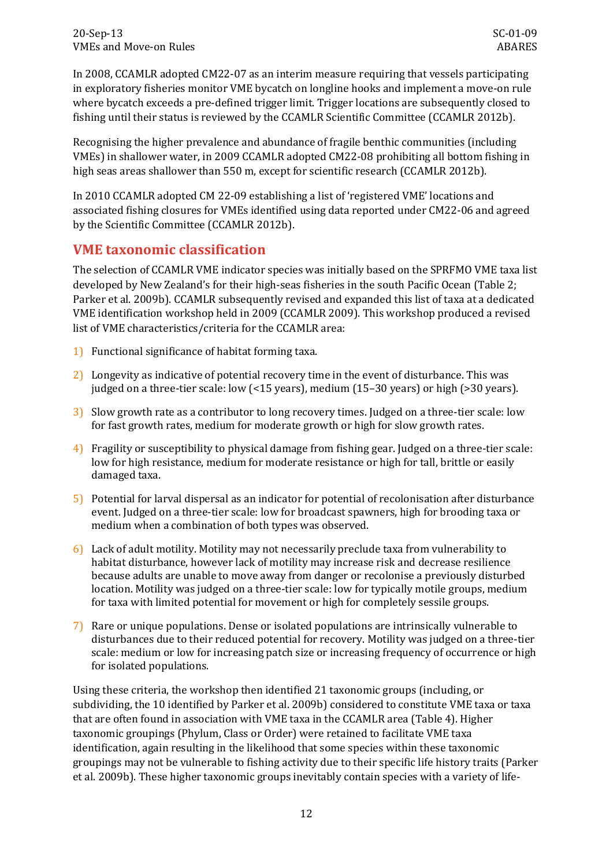In 2008, CCAMLR adopted CM22-07 as an interim measure requiring that vessels participating in exploratory fisheries monitor VME bycatch on longline hooks and implement a move-on rule where bycatch exceeds a pre-defined trigger limit. Trigger locations are subsequently closed to fishing until their status is reviewed by the CCAMLR Scientific Committee (CCAMLR 2012b).

Recognising the higher prevalence and abundance of fragile benthic communities (including VMEs) in shallower water, in 2009 CCAMLR adopted CM22-08 prohibiting all bottom fishing in high seas areas shallower than 550 m, except for scientific research (CCAMLR 2012b).

In 2010 CCAMLR adopted CM 22-09 establishing a list of 'registered VME' locations and associated fishing closures for VMEs identified using data reported under CM22-06 and agreed by the Scientific Committee (CCAMLR 2012b).

### **VME taxonomic classification**

The selection of CCAMLR VME indicator species was initially based on the SPRFMO VME taxa list developed by New Zealand's for their high-seas fisheries in the south Pacific Ocean [\(Table 2;](#page-10-2) Parker et al. 2009b). CCAMLR subsequently revised and expanded this list of taxa at a dedicated VME identification workshop held in 2009 (CCAMLR 2009). This workshop produced a revised list of VME characteristics/criteria for the CCAMLR area:

- 1) Functional significance of habitat forming taxa.
- 2) Longevity as indicative of potential recovery time in the event of disturbance. This was judged on a three-tier scale: low (<15 years), medium (15–30 years) or high (>30 years).
- 3) Slow growth rate as a contributor to long recovery times. Judged on a three-tier scale: low for fast growth rates, medium for moderate growth or high for slow growth rates.
- 4) Fragility or susceptibility to physical damage from fishing gear. Judged on a three-tier scale: low for high resistance, medium for moderate resistance or high for tall, brittle or easily damaged taxa.
- 5) Potential for larval dispersal as an indicator for potential of recolonisation after disturbance event. Judged on a three-tier scale: low for broadcast spawners, high for brooding taxa or medium when a combination of both types was observed.
- 6) Lack of adult motility. Motility may not necessarily preclude taxa from vulnerability to habitat disturbance, however lack of motility may increase risk and decrease resilience because adults are unable to move away from danger or recolonise a previously disturbed location. Motility was judged on a three-tier scale: low for typically motile groups, medium for taxa with limited potential for movement or high for completely sessile groups.
- 7) Rare or unique populations. Dense or isolated populations are intrinsically vulnerable to disturbances due to their reduced potential for recovery. Motility was judged on a three-tier scale: medium or low for increasing patch size or increasing frequency of occurrence or high for isolated populations.

Using these criteria, the workshop then identified 21 taxonomic groups (including, or subdividing, the 10 identified by Parker et al. 2009b) considered to constitute VME taxa or taxa that are often found in association with VME taxa in the CCAMLR area [\(Table 4\)](#page-16-0). Higher taxonomic groupings (Phylum, Class or Order) were retained to facilitate VME taxa identification, again resulting in the likelihood that some species within these taxonomic groupings may not be vulnerable to fishing activity due to their specific life history traits (Parker et al. 2009b). These higher taxonomic groups inevitably contain species with a variety of life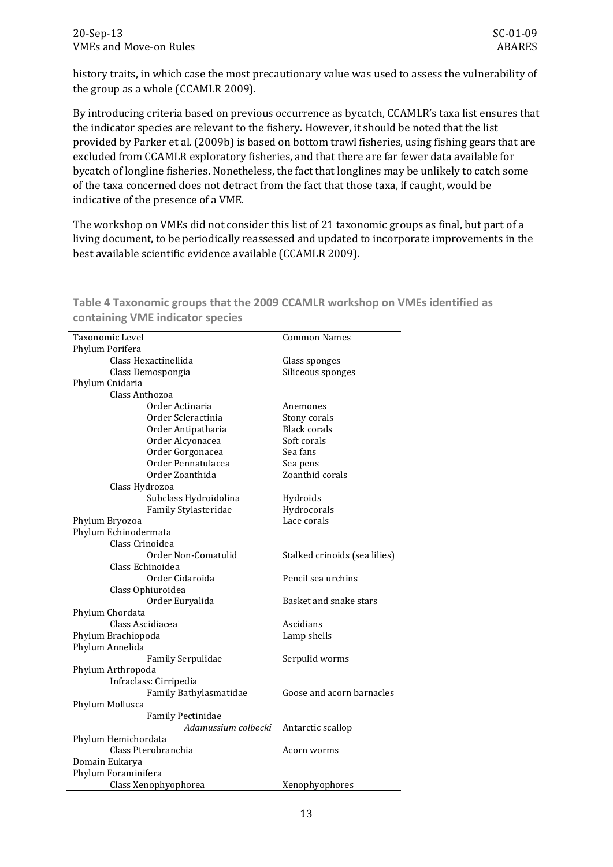history traits, in which case the most precautionary value was used to assess the vulnerability of the group as a whole (CCAMLR 2009).

By introducing criteria based on previous occurrence as bycatch, CCAMLR's taxa list ensures that the indicator species are relevant to the fishery. However, it should be noted that the list provided by Parker et al. (2009b) is based on bottom trawl fisheries, using fishing gears that are excluded from CCAMLR exploratory fisheries, and that there are far fewer data available for bycatch of longline fisheries. Nonetheless, the fact that longlines may be unlikely to catch some of the taxa concerned does not detract from the fact that those taxa, if caught, would be indicative of the presence of a VME.

The workshop on VMEs did not consider this list of 21 taxonomic groups as final, but part of a living document, to be periodically reassessed and updated to incorporate improvements in the best available scientific evidence available (CCAMLR 2009).

| Taxonomic Level          | <b>Common Names</b>           |
|--------------------------|-------------------------------|
| Phylum Porifera          |                               |
| Class Hexactinellida     | Glass sponges                 |
| Class Demospongia        | Siliceous sponges             |
| Phylum Cnidaria          |                               |
| Class Anthozoa           |                               |
| Order Actinaria          | Anemones                      |
| Order Scleractinia       | Stony corals                  |
| Order Antipatharia       | <b>Black corals</b>           |
| Order Alcyonacea         | Soft corals                   |
| Order Gorgonacea         | Sea fans                      |
| Order Pennatulacea       | Sea pens                      |
| Order Zoanthida          | Zoanthid corals               |
| Class Hydrozoa           |                               |
| Subclass Hydroidolina    | Hydroids                      |
| Family Stylasteridae     | Hydrocorals                   |
| Phylum Bryozoa           | Lace corals                   |
| Phylum Echinodermata     |                               |
| Class Crinoidea          |                               |
| Order Non-Comatulid      | Stalked crinoids (sea lilies) |
| Class Echinoidea         |                               |
| Order Cidaroida          | Pencil sea urchins            |
| Class Ophiuroidea        |                               |
| Order Euryalida          | Basket and snake stars        |
| Phylum Chordata          |                               |
| Class Ascidiacea         | Ascidians                     |
| Phylum Brachiopoda       | Lamp shells                   |
| Phylum Annelida          |                               |
| <b>Family Serpulidae</b> | Serpulid worms                |
| Phylum Arthropoda        |                               |
| Infraclass: Cirripedia   |                               |
| Family Bathylasmatidae   | Goose and acorn barnacles     |
| Phylum Mollusca          |                               |
| <b>Family Pectinidae</b> |                               |
| Adamussium colbecki      | Antarctic scallop             |
| Phylum Hemichordata      |                               |
| Class Pterobranchia      | Acorn worms                   |
| Domain Eukarya           |                               |
| Phylum Foraminifera      |                               |
| Class Xenophyophorea     | Xenophyophores                |

<span id="page-16-0"></span>**Table 4 Taxonomic groups that the 2009 CCAMLR workshop on VMEs identified as containing VME indicator species**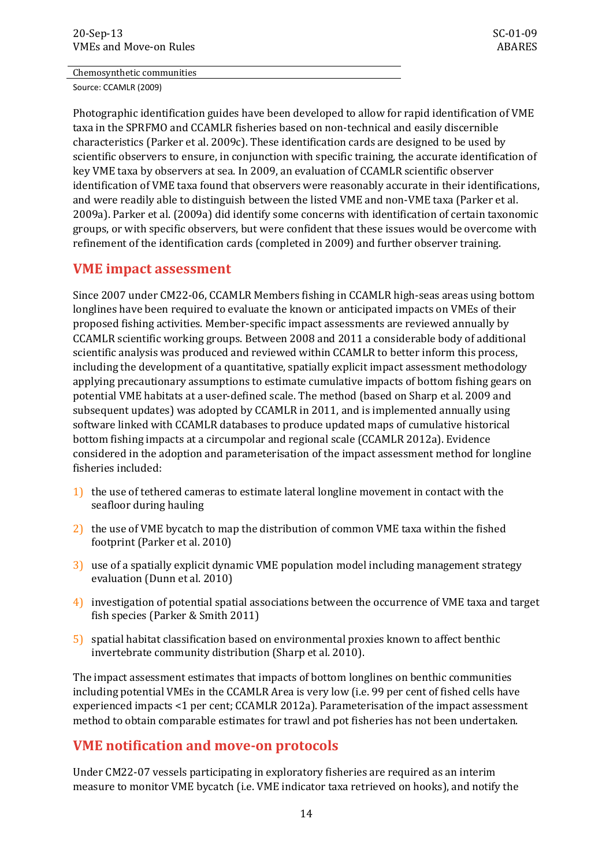#### Chemosynthetic communities

Source: CCAMLR (2009)

Photographic identification guides have been developed to allow for rapid identification of VME taxa in the SPRFMO and CCAMLR fisheries based on non-technical and easily discernible characteristics (Parker et al. 2009c). These identification cards are designed to be used by scientific observers to ensure, in conjunction with specific training, the accurate identification of key VME taxa by observers at sea. In 2009, an evaluation of CCAMLR scientific observer identification of VME taxa found that observers were reasonably accurate in their identifications, and were readily able to distinguish between the listed VME and non-VME taxa (Parker et al. 2009a). Parker et al. (2009a) did identify some concerns with identification of certain taxonomic groups, or with specific observers, but were confident that these issues would be overcome with refinement of the identification cards (completed in 2009) and further observer training.

#### **VME impact assessment**

Since 2007 under CM22-06, CCAMLR Members fishing in CCAMLR high-seas areas using bottom longlines have been required to evaluate the known or anticipated impacts on VMEs of their proposed fishing activities. Member-specific impact assessments are reviewed annually by CCAMLR scientific working groups. Between 2008 and 2011 a considerable body of additional scientific analysis was produced and reviewed within CCAMLR to better inform this process, including the development of a quantitative, spatially explicit impact assessment methodology applying precautionary assumptions to estimate cumulative impacts of bottom fishing gears on potential VME habitats at a user-defined scale. The method (based on Sharp et al. 2009 and subsequent updates) was adopted by CCAMLR in 2011, and is implemented annually using software linked with CCAMLR databases to produce updated maps of cumulative historical bottom fishing impacts at a circumpolar and regional scale (CCAMLR 2012a). Evidence considered in the adoption and parameterisation of the impact assessment method for longline fisheries included:

- 1) the use of tethered cameras to estimate lateral longline movement in contact with the seafloor during hauling
- 2) the use of VME bycatch to map the distribution of common VME taxa within the fished footprint (Parker et al. 2010)
- 3) use of a spatially explicit dynamic VME population model including management strategy evaluation (Dunn et al. 2010)
- 4) investigation of potential spatial associations between the occurrence of VME taxa and target fish species (Parker & Smith 2011)
- 5) spatial habitat classification based on environmental proxies known to affect benthic invertebrate community distribution (Sharp et al. 2010).

The impact assessment estimates that impacts of bottom longlines on benthic communities including potential VMEs in the CCAMLR Area is very low (i.e. 99 per cent of fished cells have experienced impacts <1 per cent; CCAMLR 2012a). Parameterisation of the impact assessment method to obtain comparable estimates for trawl and pot fisheries has not been undertaken.

### **VME notification and move-on protocols**

Under CM22-07 vessels participating in exploratory fisheries are required as an interim measure to monitor VME bycatch (i.e. VME indicator taxa retrieved on hooks), and notify the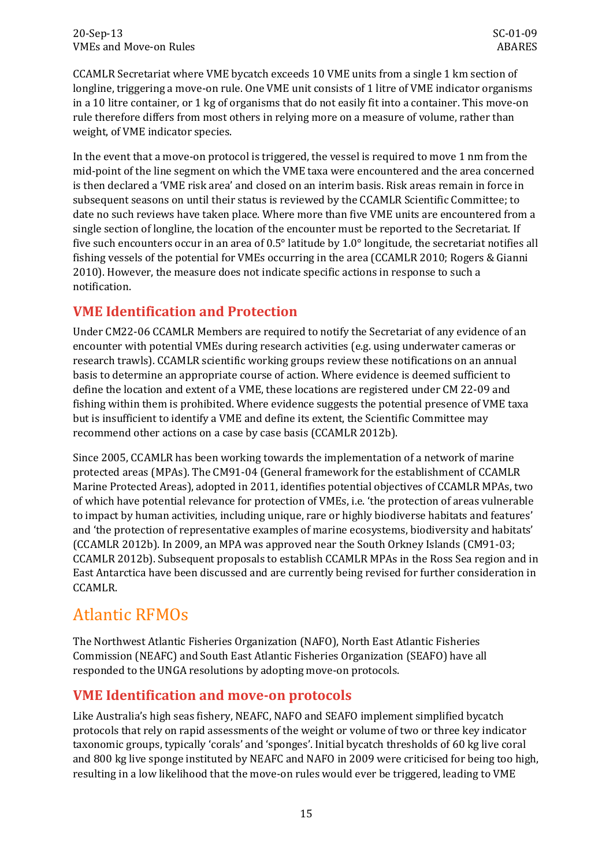CCAMLR Secretariat where VME bycatch exceeds 10 VME units from a single 1 km section of longline, triggering a move-on rule. One VME unit consists of 1 litre of VME indicator organisms in a 10 litre container, or 1 kg of organisms that do not easily fit into a container. This move-on rule therefore differs from most others in relying more on a measure of volume, rather than weight, of VME indicator species.

In the event that a move-on protocol is triggered, the vessel is required to move 1 nm from the mid-point of the line segment on which the VME taxa were encountered and the area concerned is then declared a 'VME risk area' and closed on an interim basis. Risk areas remain in force in subsequent seasons on until their status is reviewed by the CCAMLR Scientific Committee; to date no such reviews have taken place. Where more than five VME units are encountered from a single section of longline, the location of the encounter must be reported to the Secretariat. If five such encounters occur in an area of 0.5° latitude by 1.0° longitude, the secretariat notifies all fishing vessels of the potential for VMEs occurring in the area (CCAMLR 2010; Rogers & Gianni 2010). However, the measure does not indicate specific actions in response to such a notification.

## **VME Identification and Protection**

Under CM22-06 CCAMLR Members are required to notify the Secretariat of any evidence of an encounter with potential VMEs during research activities (e.g. using underwater cameras or research trawls). CCAMLR scientific working groups review these notifications on an annual basis to determine an appropriate course of action. Where evidence is deemed sufficient to define the location and extent of a VME, these locations are registered under CM 22-09 and fishing within them is prohibited. Where evidence suggests the potential presence of VME taxa but is insufficient to identify a VME and define its extent, the Scientific Committee may recommend other actions on a case by case basis (CCAMLR 2012b).

Since 2005, CCAMLR has been working towards the implementation of a network of marine protected areas (MPAs). The CM91-04 (General framework for the establishment of CCAMLR Marine Protected Areas), adopted in 2011, identifies potential objectives of CCAMLR MPAs, two of which have potential relevance for protection of VMEs, i.e. 'the protection of areas vulnerable to impact by human activities, including unique, rare or highly biodiverse habitats and features' and 'the protection of representative examples of marine ecosystems, biodiversity and habitats' (CCAMLR 2012b). In 2009, an MPA was approved near the South Orkney Islands (CM91-03; CCAMLR 2012b). Subsequent proposals to establish CCAMLR MPAs in the Ross Sea region and in East Antarctica have been discussed and are currently being revised for further consideration in CCAMLR.

# <span id="page-18-0"></span>Atlantic RFMOs

The Northwest Atlantic Fisheries Organization (NAFO), North East Atlantic Fisheries Commission (NEAFC) and South East Atlantic Fisheries Organization (SEAFO) have all responded to the UNGA resolutions by adopting move-on protocols.

## **VME Identification and move-on protocols**

Like Australia's high seas fishery, NEAFC, NAFO and SEAFO implement simplified bycatch protocols that rely on rapid assessments of the weight or volume of two or three key indicator taxonomic groups, typically 'corals' and 'sponges'. Initial bycatch thresholds of 60 kg live coral and 800 kg live sponge instituted by NEAFC and NAFO in 2009 were criticised for being too high, resulting in a low likelihood that the move-on rules would ever be triggered, leading to VME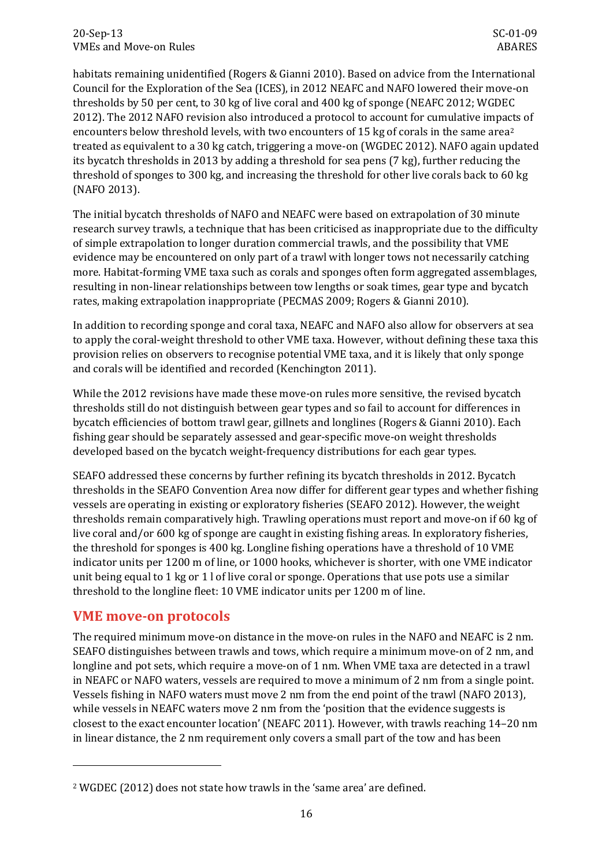habitats remaining unidentified (Rogers & Gianni 2010). Based on advice from the International Council for the Exploration of the Sea (ICES), in 2012 NEAFC and NAFO lowered their move-on thresholds by 50 per cent, to 30 kg of live coral and 400 kg of sponge (NEAFC 2012; WGDEC 2012). The 2012 NAFO revision also introduced a protocol to account for cumulative impa[ct](#page-19-0)s of encounters below threshold levels, with two encounters of 15 kg of corals in the same area<sup>2</sup> treated as equivalent to a 30 kg catch, triggering a move-on (WGDEC 2012). NAFO again updated its bycatch thresholds in 2013 by adding a threshold for sea pens (7 kg), further reducing the threshold of sponges to 300 kg, and increasing the threshold for other live corals back to 60 kg (NAFO 2013).

The initial bycatch thresholds of NAFO and NEAFC were based on extrapolation of 30 minute research survey trawls, a technique that has been criticised as inappropriate due to the difficulty of simple extrapolation to longer duration commercial trawls, and the possibility that VME evidence may be encountered on only part of a trawl with longer tows not necessarily catching more. Habitat-forming VME taxa such as corals and sponges often form aggregated assemblages, resulting in non-linear relationships between tow lengths or soak times, gear type and bycatch rates, making extrapolation inappropriate (PECMAS 2009; Rogers & Gianni 2010).

In addition to recording sponge and coral taxa, NEAFC and NAFO also allow for observers at sea to apply the coral-weight threshold to other VME taxa. However, without defining these taxa this provision relies on observers to recognise potential VME taxa, and it is likely that only sponge and corals will be identified and recorded (Kenchington 2011).

While the 2012 revisions have made these move-on rules more sensitive, the revised bycatch thresholds still do not distinguish between gear types and so fail to account for differences in bycatch efficiencies of bottom trawl gear, gillnets and longlines (Rogers & Gianni 2010). Each fishing gear should be separately assessed and gear-specific move-on weight thresholds developed based on the bycatch weight-frequency distributions for each gear types.

SEAFO addressed these concerns by further refining its bycatch thresholds in 2012. Bycatch thresholds in the SEAFO Convention Area now differ for different gear types and whether fishing vessels are operating in existing or exploratory fisheries (SEAFO 2012). However, the weight thresholds remain comparatively high. Trawling operations must report and move-on if 60 kg of live coral and/or 600 kg of sponge are caught in existing fishing areas. In exploratory fisheries, the threshold for sponges is 400 kg. Longline fishing operations have a threshold of 10 VME indicator units per 1200 m of line, or 1000 hooks, whichever is shorter, with one VME indicator unit being equal to 1 kg or 1 l of live coral or sponge. Operations that use pots use a similar threshold to the longline fleet: 10 VME indicator units per 1200 m of line.

### **VME move-on protocols**

j

The required minimum move-on distance in the move-on rules in the NAFO and NEAFC is 2 nm. SEAFO distinguishes between trawls and tows, which require a minimum move-on of 2 nm, and longline and pot sets, which require a move-on of 1 nm. When VME taxa are detected in a trawl in NEAFC or NAFO waters, vessels are required to move a minimum of 2 nm from a single point. Vessels fishing in NAFO waters must move 2 nm from the end point of the trawl (NAFO 2013), while vessels in NEAFC waters move 2 nm from the 'position that the evidence suggests is closest to the exact encounter location' (NEAFC 2011). However, with trawls reaching 14–20 nm in linear distance, the 2 nm requirement only covers a small part of the tow and has been

<span id="page-19-0"></span><sup>2</sup> WGDEC (2012) does not state how trawls in the 'same area' are defined.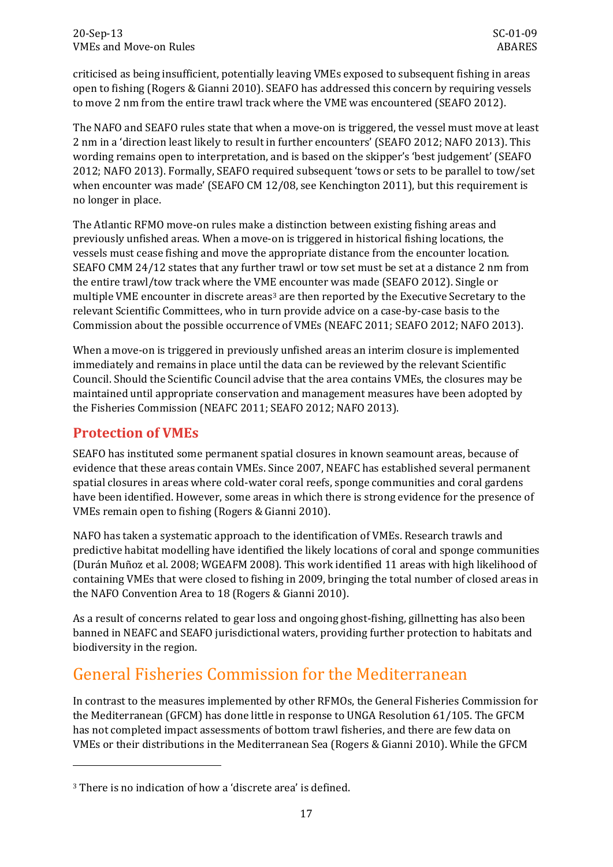criticised as being insufficient, potentially leaving VMEs exposed to subsequent fishing in areas open to fishing (Rogers & Gianni 2010). SEAFO has addressed this concern by requiring vessels to move 2 nm from the entire trawl track where the VME was encountered (SEAFO 2012).

The NAFO and SEAFO rules state that when a move-on is triggered, the vessel must move at least 2 nm in a 'direction least likely to result in further encounters' (SEAFO 2012; NAFO 2013). This wording remains open to interpretation, and is based on the skipper's 'best judgement' (SEAFO 2012; NAFO 2013). Formally, SEAFO required subsequent 'tows or sets to be parallel to tow/set when encounter was made' (SEAFO CM 12/08, see Kenchington 2011), but this requirement is no longer in place.

The Atlantic RFMO move-on rules make a distinction between existing fishing areas and previously unfished areas. When a move-on is triggered in historical fishing locations, the vessels must cease fishing and move the appropriate distance from the encounter location. SEAFO CMM 24/12 states that any further trawl or tow set must be set at a distance 2 nm from the entire trawl/tow track where the VME encounter was made (SEAFO 2012). Single or multiple VME encounter in discrete areas<sup>[3](#page-20-1)</sup> are then reported by the Executive Secretary to the relevant Scientific Committees, who in turn provide advice on a case-by-case basis to the Commission about the possible occurrence of VMEs (NEAFC 2011; SEAFO 2012; NAFO 2013).

When a move-on is triggered in previously unfished areas an interim closure is implemented immediately and remains in place until the data can be reviewed by the relevant Scientific Council. Should the Scientific Council advise that the area contains VMEs, the closures may be maintained until appropriate conservation and management measures have been adopted by the Fisheries Commission (NEAFC 2011; SEAFO 2012; NAFO 2013).

## **Protection of VMEs**

j

SEAFO has instituted some permanent spatial closures in known seamount areas, because of evidence that these areas contain VMEs. Since 2007, NEAFC has established several permanent spatial closures in areas where cold-water coral reefs, sponge communities and coral gardens have been identified. However, some areas in which there is strong evidence for the presence of VMEs remain open to fishing (Rogers & Gianni 2010).

NAFO has taken a systematic approach to the identification of VMEs. Research trawls and predictive habitat modelling have identified the likely locations of coral and sponge communities (Durán Muñoz et al. 2008; WGEAFM 2008). This work identified 11 areas with high likelihood of containing VMEs that were closed to fishing in 2009, bringing the total number of closed areas in the NAFO Convention Area to 18 (Rogers & Gianni 2010).

As a result of concerns related to gear loss and ongoing ghost-fishing, gillnetting has also been banned in NEAFC and SEAFO jurisdictional waters, providing further protection to habitats and biodiversity in the region.

# <span id="page-20-0"></span>General Fisheries Commission for the Mediterranean

In contrast to the measures implemented by other RFMOs, the General Fisheries Commission for the Mediterranean (GFCM) has done little in response to UNGA Resolution 61/105. The GFCM has not completed impact assessments of bottom trawl fisheries, and there are few data on VMEs or their distributions in the Mediterranean Sea (Rogers & Gianni 2010). While the GFCM

<span id="page-20-1"></span><sup>3</sup> There is no indication of how a 'discrete area' is defined.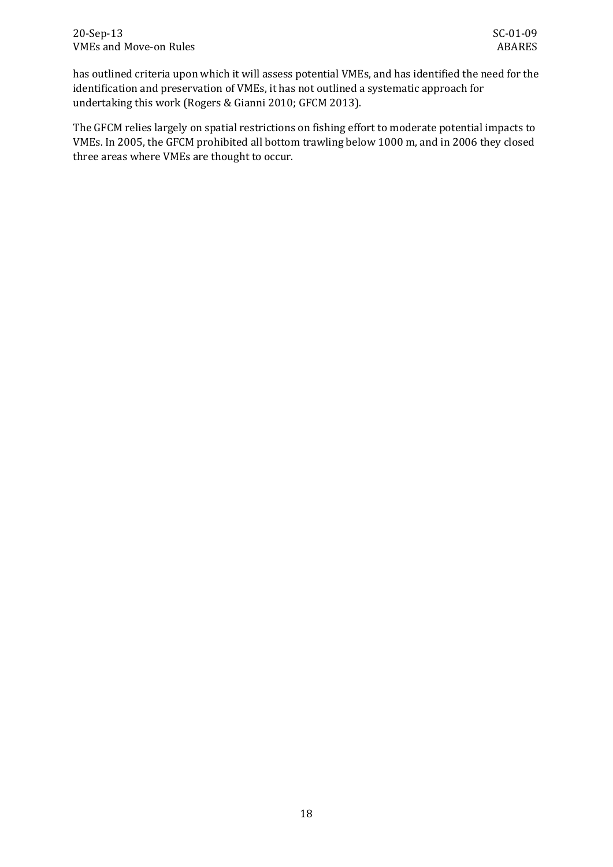has outlined criteria upon which it will assess potential VMEs, and has identified the need for the identification and preservation of VMEs, it has not outlined a systematic approach for undertaking this work (Rogers & Gianni 2010; GFCM 2013).

The GFCM relies largely on spatial restrictions on fishing effort to moderate potential impacts to VMEs. In 2005, the GFCM prohibited all bottom trawling below 1000 m, and in 2006 they closed three areas where VMEs are thought to occur.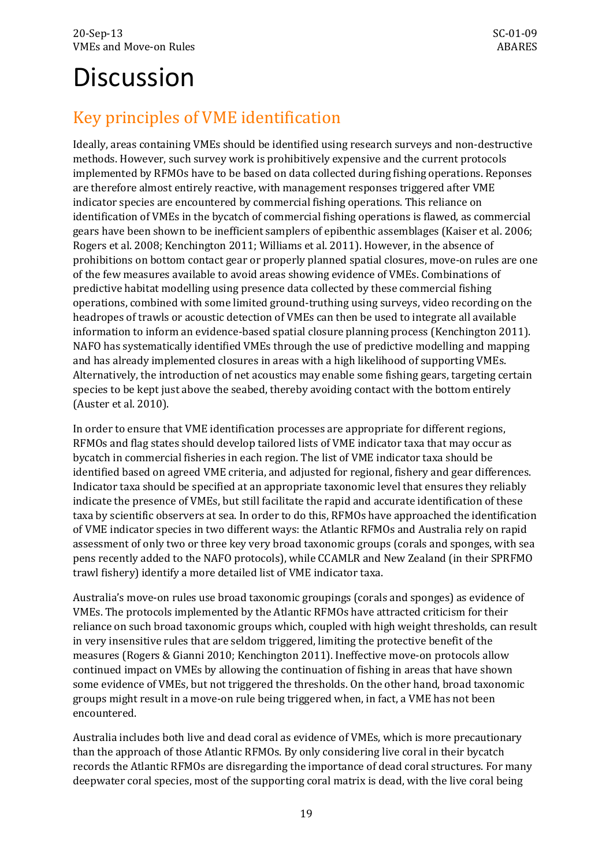# <span id="page-22-0"></span>**Discussion**

# <span id="page-22-1"></span>Key principles of VME identification

Ideally, areas containing VMEs should be identified using research surveys and non-destructive methods. However, such survey work is prohibitively expensive and the current protocols implemented by RFMOs have to be based on data collected during fishing operations. Reponses are therefore almost entirely reactive, with management responses triggered after VME indicator species are encountered by commercial fishing operations. This reliance on identification of VMEs in the bycatch of commercial fishing operations is flawed, as commercial gears have been shown to be inefficient samplers of epibenthic assemblages (Kaiser et al. 2006; Rogers et al. 2008; Kenchington 2011; Williams et al. 2011). However, in the absence of prohibitions on bottom contact gear or properly planned spatial closures, move-on rules are one of the few measures available to avoid areas showing evidence of VMEs. Combinations of predictive habitat modelling using presence data collected by these commercial fishing operations, combined with some limited ground-truthing using surveys, video recording on the headropes of trawls or acoustic detection of VMEs can then be used to integrate all available information to inform an evidence-based spatial closure planning process (Kenchington 2011). NAFO has systematically identified VMEs through the use of predictive modelling and mapping and has already implemented closures in areas with a high likelihood of supporting VMEs. Alternatively, the introduction of net acoustics may enable some fishing gears, targeting certain species to be kept just above the seabed, thereby avoiding contact with the bottom entirely (Auster et al. 2010).

In order to ensure that VME identification processes are appropriate for different regions, RFMOs and flag states should develop tailored lists of VME indicator taxa that may occur as bycatch in commercial fisheries in each region. The list of VME indicator taxa should be identified based on agreed VME criteria, and adjusted for regional, fishery and gear differences. Indicator taxa should be specified at an appropriate taxonomic level that ensures they reliably indicate the presence of VMEs, but still facilitate the rapid and accurate identification of these taxa by scientific observers at sea. In order to do this, RFMOs have approached the identification of VME indicator species in two different ways: the Atlantic RFMOs and Australia rely on rapid assessment of only two or three key very broad taxonomic groups (corals and sponges, with sea pens recently added to the NAFO protocols), while CCAMLR and New Zealand (in their SPRFMO trawl fishery) identify a more detailed list of VME indicator taxa.

Australia's move-on rules use broad taxonomic groupings (corals and sponges) as evidence of VMEs. The protocols implemented by the Atlantic RFMOs have attracted criticism for their reliance on such broad taxonomic groups which, coupled with high weight thresholds, can result in very insensitive rules that are seldom triggered, limiting the protective benefit of the measures (Rogers & Gianni 2010; Kenchington 2011). Ineffective move-on protocols allow continued impact on VMEs by allowing the continuation of fishing in areas that have shown some evidence of VMEs, but not triggered the thresholds. On the other hand, broad taxonomic groups might result in a move-on rule being triggered when, in fact, a VME has not been encountered.

Australia includes both live and dead coral as evidence of VMEs, which is more precautionary than the approach of those Atlantic RFMOs. By only considering live coral in their bycatch records the Atlantic RFMOs are disregarding the importance of dead coral structures. For many deepwater coral species, most of the supporting coral matrix is dead, with the live coral being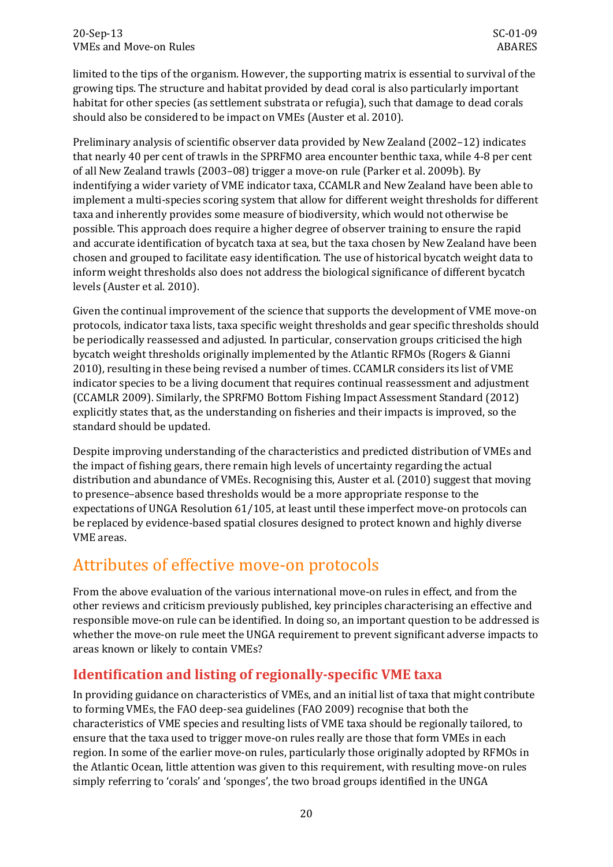limited to the tips of the organism. However, the supporting matrix is essential to survival of the growing tips. The structure and habitat provided by dead coral is also particularly important habitat for other species (as settlement substrata or refugia), such that damage to dead corals should also be considered to be impact on VMEs (Auster et al. 2010).

Preliminary analysis of scientific observer data provided by New Zealand (2002–12) indicates that nearly 40 per cent of trawls in the SPRFMO area encounter benthic taxa, while 4-8 per cent of all New Zealand trawls (2003–08) trigger a move-on rule (Parker et al. 2009b). By indentifying a wider variety of VME indicator taxa, CCAMLR and New Zealand have been able to implement a multi-species scoring system that allow for different weight thresholds for different taxa and inherently provides some measure of biodiversity, which would not otherwise be possible. This approach does require a higher degree of observer training to ensure the rapid and accurate identification of bycatch taxa at sea, but the taxa chosen by New Zealand have been chosen and grouped to facilitate easy identification. The use of historical bycatch weight data to inform weight thresholds also does not address the biological significance of different bycatch levels (Auster et al. 2010).

Given the continual improvement of the science that supports the development of VME move-on protocols, indicator taxa lists, taxa specific weight thresholds and gear specific thresholds should be periodically reassessed and adjusted. In particular, conservation groups criticised the high bycatch weight thresholds originally implemented by the Atlantic RFMOs (Rogers & Gianni 2010), resulting in these being revised a number of times. CCAMLR considers its list of VME indicator species to be a living document that requires continual reassessment and adjustment (CCAMLR 2009). Similarly, the SPRFMO Bottom Fishing Impact Assessment Standard (2012) explicitly states that, as the understanding on fisheries and their impacts is improved, so the standard should be updated.

Despite improving understanding of the characteristics and predicted distribution of VMEs and the impact of fishing gears, there remain high levels of uncertainty regarding the actual distribution and abundance of VMEs. Recognising this, Auster et al. (2010) suggest that moving to presence–absence based thresholds would be a more appropriate response to the expectations of UNGA Resolution 61/105, at least until these imperfect move-on protocols can be replaced by evidence-based spatial closures designed to protect known and highly diverse VME areas.

# <span id="page-23-0"></span>Attributes of effective move-on protocols

From the above evaluation of the various international move-on rules in effect, and from the other reviews and criticism previously published, key principles characterising an effective and responsible move-on rule can be identified. In doing so, an important question to be addressed is whether the move-on rule meet the UNGA requirement to prevent significant adverse impacts to areas known or likely to contain VMEs?

## **Identification and listing of regionally-specific VME taxa**

In providing guidance on characteristics of VMEs, and an initial list of taxa that might contribute to forming VMEs, the FAO deep-sea guidelines (FAO 2009) recognise that both the characteristics of VME species and resulting lists of VME taxa should be regionally tailored, to ensure that the taxa used to trigger move-on rules really are those that form VMEs in each region. In some of the earlier move-on rules, particularly those originally adopted by RFMOs in the Atlantic Ocean, little attention was given to this requirement, with resulting move-on rules simply referring to 'corals' and 'sponges', the two broad groups identified in the UNGA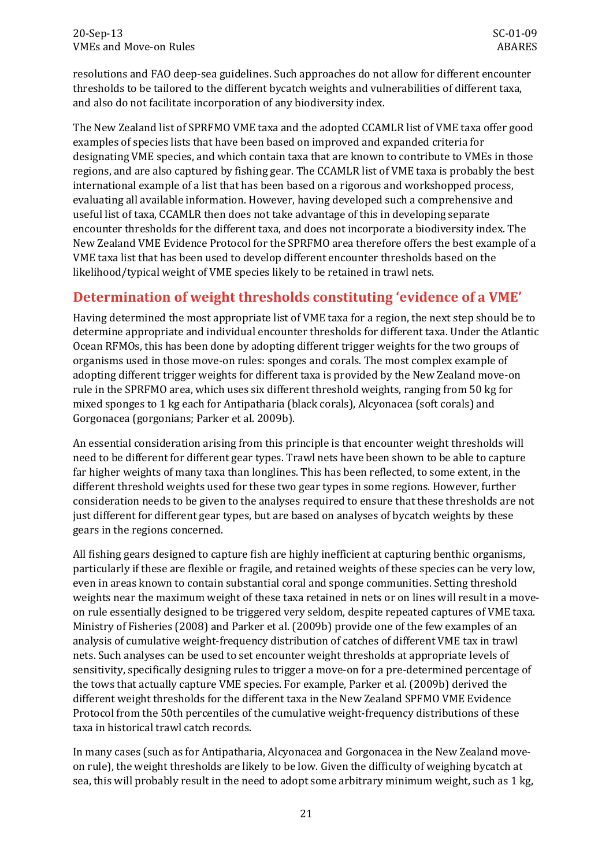resolutions and FAO deep-sea guidelines. Such approaches do not allow for different encounter thresholds to be tailored to the different bycatch weights and vulnerabilities of different taxa, and also do not facilitate incorporation of any biodiversity index.

The New Zealand list of SPRFMO VME taxa and the adopted CCAMLR list of VME taxa offer good examples of species lists that have been based on improved and expanded criteria for designating VME species, and which contain taxa that are known to contribute to VMEs in those regions, and are also captured by fishing gear. The CCAMLR list of VME taxa is probably the best international example of a list that has been based on a rigorous and workshopped process, evaluating all available information. However, having developed such a comprehensive and useful list of taxa, CCAMLR then does not take advantage of this in developing separate encounter thresholds for the different taxa, and does not incorporate a biodiversity index. The New Zealand VME Evidence Protocol for the SPRFMO area therefore offers the best example of a VME taxa list that has been used to develop different encounter thresholds based on the likelihood/typical weight of VME species likely to be retained in trawl nets.

## **Determination of weight thresholds constituting 'evidence of a VME'**

Having determined the most appropriate list of VME taxa for a region, the next step should be to determine appropriate and individual encounter thresholds for different taxa. Under the Atlantic Ocean RFMOs, this has been done by adopting different trigger weights for the two groups of organisms used in those move-on rules: sponges and corals. The most complex example of adopting different trigger weights for different taxa is provided by the New Zealand move-on rule in the SPRFMO area, which uses six different threshold weights, ranging from 50 kg for mixed sponges to 1 kg each for Antipatharia (black corals), Alcyonacea (soft corals) and Gorgonacea (gorgonians; Parker et al. 2009b).

An essential consideration arising from this principle is that encounter weight thresholds will need to be different for different gear types. Trawl nets have been shown to be able to capture far higher weights of many taxa than longlines. This has been reflected, to some extent, in the different threshold weights used for these two gear types in some regions. However, further consideration needs to be given to the analyses required to ensure that these thresholds are not just different for different gear types, but are based on analyses of bycatch weights by these gears in the regions concerned.

All fishing gears designed to capture fish are highly inefficient at capturing benthic organisms, particularly if these are flexible or fragile, and retained weights of these species can be very low, even in areas known to contain substantial coral and sponge communities. Setting threshold weights near the maximum weight of these taxa retained in nets or on lines will result in a moveon rule essentially designed to be triggered very seldom, despite repeated captures of VME taxa. Ministry of Fisheries (2008) and Parker et al. (2009b) provide one of the few examples of an analysis of cumulative weight-frequency distribution of catches of different VME tax in trawl nets. Such analyses can be used to set encounter weight thresholds at appropriate levels of sensitivity, specifically designing rules to trigger a move-on for a pre-determined percentage of the tows that actually capture VME species. For example, Parker et al. (2009b) derived the different weight thresholds for the different taxa in the New Zealand SPFMO VME Evidence Protocol from the 50th percentiles of the cumulative weight-frequency distributions of these taxa in historical trawl catch records.

In many cases (such as for Antipatharia, Alcyonacea and Gorgonacea in the New Zealand moveon rule), the weight thresholds are likely to be low. Given the difficulty of weighing bycatch at sea, this will probably result in the need to adopt some arbitrary minimum weight, such as 1 kg,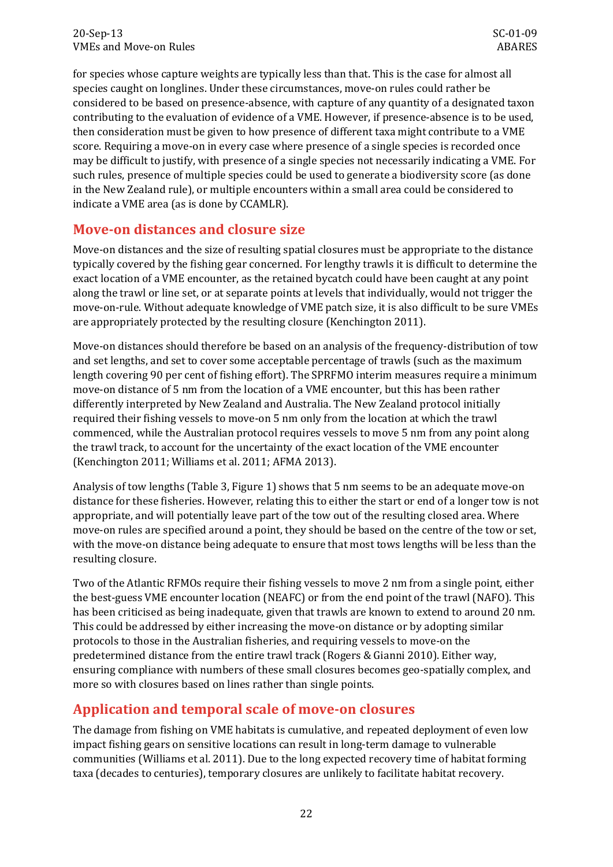for species whose capture weights are typically less than that. This is the case for almost all species caught on longlines. Under these circumstances, move-on rules could rather be considered to be based on presence-absence, with capture of any quantity of a designated taxon contributing to the evaluation of evidence of a VME. However, if presence-absence is to be used, then consideration must be given to how presence of different taxa might contribute to a VME score. Requiring a move-on in every case where presence of a single species is recorded once may be difficult to justify, with presence of a single species not necessarily indicating a VME. For such rules, presence of multiple species could be used to generate a biodiversity score (as done in the New Zealand rule), or multiple encounters within a small area could be considered to indicate a VME area (as is done by CCAMLR).

## **Move-on distances and closure size**

Move-on distances and the size of resulting spatial closures must be appropriate to the distance typically covered by the fishing gear concerned. For lengthy trawls it is difficult to determine the exact location of a VME encounter, as the retained bycatch could have been caught at any point along the trawl or line set, or at separate points at levels that individually, would not trigger the move-on-rule. Without adequate knowledge of VME patch size, it is also difficult to be sure VMEs are appropriately protected by the resulting closure (Kenchington 2011).

Move-on distances should therefore be based on an analysis of the frequency-distribution of tow and set lengths, and set to cover some acceptable percentage of trawls (such as the maximum length covering 90 per cent of fishing effort). The SPRFMO interim measures require a minimum move-on distance of 5 nm from the location of a VME encounter, but this has been rather differently interpreted by New Zealand and Australia. The New Zealand protocol initially required their fishing vessels to move-on 5 nm only from the location at which the trawl commenced, while the Australian protocol requires vessels to move 5 nm from any point along the trawl track, to account for the uncertainty of the exact location of the VME encounter (Kenchington 2011; Williams et al. 2011; AFMA 2013).

Analysis of tow lengths [\(Table 3,](#page-12-0) [Figure 1\)](#page-13-0) shows that 5 nm seems to be an adequate move-on distance for these fisheries. However, relating this to either the start or end of a longer tow is not appropriate, and will potentially leave part of the tow out of the resulting closed area. Where move-on rules are specified around a point, they should be based on the centre of the tow or set, with the move-on distance being adequate to ensure that most tows lengths will be less than the resulting closure.

Two of the Atlantic RFMOs require their fishing vessels to move 2 nm from a single point, either the best-guess VME encounter location (NEAFC) or from the end point of the trawl (NAFO). This has been criticised as being inadequate, given that trawls are known to extend to around 20 nm. This could be addressed by either increasing the move-on distance or by adopting similar protocols to those in the Australian fisheries, and requiring vessels to move-on the predetermined distance from the entire trawl track (Rogers & Gianni 2010). Either way, ensuring compliance with numbers of these small closures becomes geo-spatially complex, and more so with closures based on lines rather than single points.

## **Application and temporal scale of move-on closures**

The damage from fishing on VME habitats is cumulative, and repeated deployment of even low impact fishing gears on sensitive locations can result in long-term damage to vulnerable communities (Williams et al. 2011). Due to the long expected recovery time of habitat forming taxa (decades to centuries), temporary closures are unlikely to facilitate habitat recovery.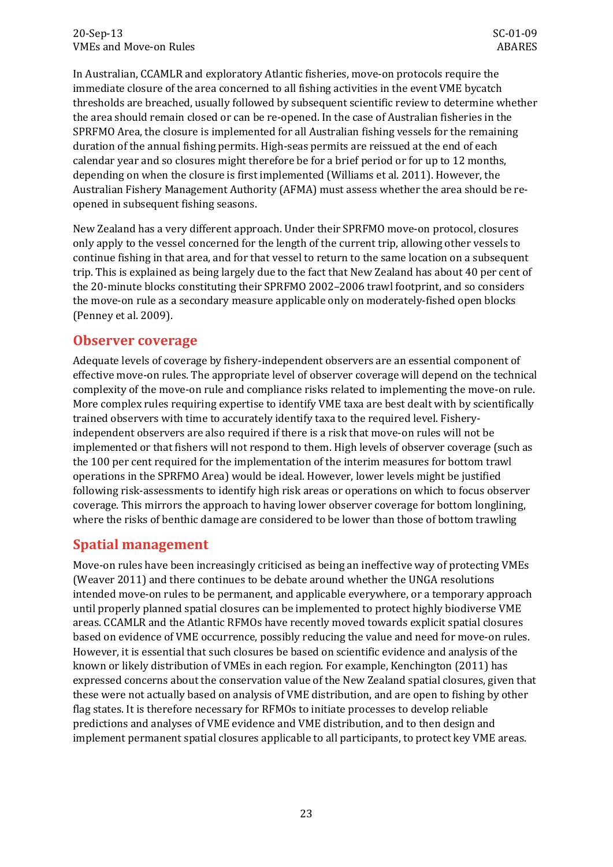In Australian, CCAMLR and exploratory Atlantic fisheries, move-on protocols require the immediate closure of the area concerned to all fishing activities in the event VME bycatch thresholds are breached, usually followed by subsequent scientific review to determine whether the area should remain closed or can be re-opened. In the case of Australian fisheries in the SPRFMO Area, the closure is implemented for all Australian fishing vessels for the remaining duration of the annual fishing permits. High-seas permits are reissued at the end of each calendar year and so closures might therefore be for a brief period or for up to 12 months, depending on when the closure is first implemented (Williams et al. 2011). However, the Australian Fishery Management Authority (AFMA) must assess whether the area should be reopened in subsequent fishing seasons.

New Zealand has a very different approach. Under their SPRFMO move-on protocol, closures only apply to the vessel concerned for the length of the current trip, allowing other vessels to continue fishing in that area, and for that vessel to return to the same location on a subsequent trip. This is explained as being largely due to the fact that New Zealand has about 40 per cent of the 20-minute blocks constituting their SPRFMO 2002–2006 trawl footprint, and so considers the move-on rule as a secondary measure applicable only on moderately-fished open blocks (Penney et al. 2009).

### **Observer coverage**

Adequate levels of coverage by fishery-independent observers are an essential component of effective move-on rules. The appropriate level of observer coverage will depend on the technical complexity of the move-on rule and compliance risks related to implementing the move-on rule. More complex rules requiring expertise to identify VME taxa are best dealt with by scientifically trained observers with time to accurately identify taxa to the required level. Fisheryindependent observers are also required if there is a risk that move-on rules will not be implemented or that fishers will not respond to them. High levels of observer coverage (such as the 100 per cent required for the implementation of the interim measures for bottom trawl operations in the SPRFMO Area) would be ideal. However, lower levels might be justified following risk-assessments to identify high risk areas or operations on which to focus observer coverage. This mirrors the approach to having lower observer coverage for bottom longlining, where the risks of benthic damage are considered to be lower than those of bottom trawling

### **Spatial management**

Move-on rules have been increasingly criticised as being an ineffective way of protecting VMEs (Weaver 2011) and there continues to be debate around whether the UNGA resolutions intended move-on rules to be permanent, and applicable everywhere, or a temporary approach until properly planned spatial closures can be implemented to protect highly biodiverse VME areas. CCAMLR and the Atlantic RFMOs have recently moved towards explicit spatial closures based on evidence of VME occurrence, possibly reducing the value and need for move-on rules. However, it is essential that such closures be based on scientific evidence and analysis of the known or likely distribution of VMEs in each region. For example, Kenchington (2011) has expressed concerns about the conservation value of the New Zealand spatial closures, given that these were not actually based on analysis of VME distribution, and are open to fishing by other flag states. It is therefore necessary for RFMOs to initiate processes to develop reliable predictions and analyses of VME evidence and VME distribution, and to then design and implement permanent spatial closures applicable to all participants, to protect key VME areas.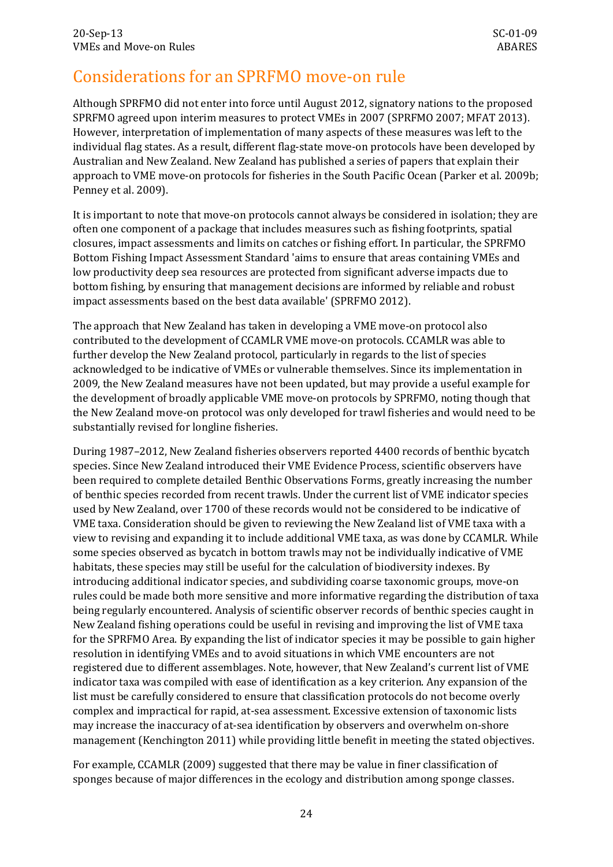## <span id="page-27-0"></span>Considerations for an SPRFMO move-on rule

Although SPRFMO did not enter into force until August 2012, signatory nations to the proposed SPRFMO agreed upon interim measures to protect VMEs in 2007 (SPRFMO 2007; MFAT 2013). However, interpretation of implementation of many aspects of these measures was left to the individual flag states. As a result, different flag-state move-on protocols have been developed by Australian and New Zealand. New Zealand has published a series of papers that explain their approach to VME move-on protocols for fisheries in the South Pacific Ocean (Parker et al. 2009b; Penney et al. 2009).

It is important to note that move-on protocols cannot always be considered in isolation; they are often one component of a package that includes measures such as fishing footprints, spatial closures, impact assessments and limits on catches or fishing effort. In particular, the SPRFMO Bottom Fishing Impact Assessment Standard 'aims to ensure that areas containing VMEs and low productivity deep sea resources are protected from significant adverse impacts due to bottom fishing, by ensuring that management decisions are informed by reliable and robust impact assessments based on the best data available' (SPRFMO 2012).

The approach that New Zealand has taken in developing a VME move-on protocol also contributed to the development of CCAMLR VME move-on protocols. CCAMLR was able to further develop the New Zealand protocol, particularly in regards to the list of species acknowledged to be indicative of VMEs or vulnerable themselves. Since its implementation in 2009, the New Zealand measures have not been updated, but may provide a useful example for the development of broadly applicable VME move-on protocols by SPRFMO, noting though that the New Zealand move-on protocol was only developed for trawl fisheries and would need to be substantially revised for longline fisheries.

During 1987–2012, New Zealand fisheries observers reported 4400 records of benthic bycatch species. Since New Zealand introduced their VME Evidence Process, scientific observers have been required to complete detailed Benthic Observations Forms, greatly increasing the number of benthic species recorded from recent trawls. Under the current list of VME indicator species used by New Zealand, over 1700 of these records would not be considered to be indicative of VME taxa. Consideration should be given to reviewing the New Zealand list of VME taxa with a view to revising and expanding it to include additional VME taxa, as was done by CCAMLR. While some species observed as bycatch in bottom trawls may not be individually indicative of VME habitats, these species may still be useful for the calculation of biodiversity indexes. By introducing additional indicator species, and subdividing coarse taxonomic groups, move-on rules could be made both more sensitive and more informative regarding the distribution of taxa being regularly encountered. Analysis of scientific observer records of benthic species caught in New Zealand fishing operations could be useful in revising and improving the list of VME taxa for the SPRFMO Area. By expanding the list of indicator species it may be possible to gain higher resolution in identifying VMEs and to avoid situations in which VME encounters are not registered due to different assemblages. Note, however, that New Zealand's current list of VME indicator taxa was compiled with ease of identification as a key criterion. Any expansion of the list must be carefully considered to ensure that classification protocols do not become overly complex and impractical for rapid, at-sea assessment. Excessive extension of taxonomic lists may increase the inaccuracy of at-sea identification by observers and overwhelm on-shore management (Kenchington 2011) while providing little benefit in meeting the stated objectives.

For example, CCAMLR (2009) suggested that there may be value in finer classification of sponges because of major differences in the ecology and distribution among sponge classes.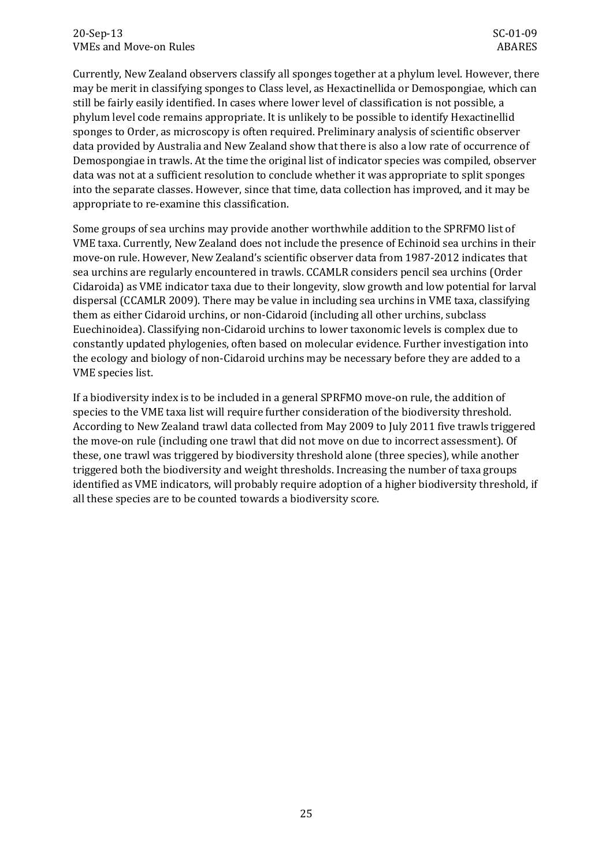#### 20-Sep-13 SC-01-09 VMEs and Move-on Rules and Move and Rules ABARES ABARES

Currently, New Zealand observers classify all sponges together at a phylum level. However, there may be merit in classifying sponges to Class level, as Hexactinellida or Demospongiae, which can still be fairly easily identified. In cases where lower level of classification is not possible, a phylum level code remains appropriate. It is unlikely to be possible to identify Hexactinellid sponges to Order, as microscopy is often required. Preliminary analysis of scientific observer data provided by Australia and New Zealand show that there is also a low rate of occurrence of Demospongiae in trawls. At the time the original list of indicator species was compiled, observer data was not at a sufficient resolution to conclude whether it was appropriate to split sponges into the separate classes. However, since that time, data collection has improved, and it may be appropriate to re-examine this classification.

Some groups of sea urchins may provide another worthwhile addition to the SPRFMO list of VME taxa. Currently, New Zealand does not include the presence of Echinoid sea urchins in their move-on rule. However, New Zealand's scientific observer data from 1987-2012 indicates that sea urchins are regularly encountered in trawls. CCAMLR considers pencil sea urchins (Order Cidaroida) as VME indicator taxa due to their longevity, slow growth and low potential for larval dispersal (CCAMLR 2009). There may be value in including sea urchins in VME taxa, classifying them as either Cidaroid urchins, or non-Cidaroid (including all other urchins, subclass Euechinoidea). Classifying non-Cidaroid urchins to lower taxonomic levels is complex due to constantly updated phylogenies, often based on molecular evidence. Further investigation into the ecology and biology of non-Cidaroid urchins may be necessary before they are added to a VME species list.

If a biodiversity index is to be included in a general SPRFMO move-on rule, the addition of species to the VME taxa list will require further consideration of the biodiversity threshold. According to New Zealand trawl data collected from May 2009 to July 2011 five trawls triggered the move-on rule (including one trawl that did not move on due to incorrect assessment). Of these, one trawl was triggered by biodiversity threshold alone (three species), while another triggered both the biodiversity and weight thresholds. Increasing the number of taxa groups identified as VME indicators, will probably require adoption of a higher biodiversity threshold, if all these species are to be counted towards a biodiversity score.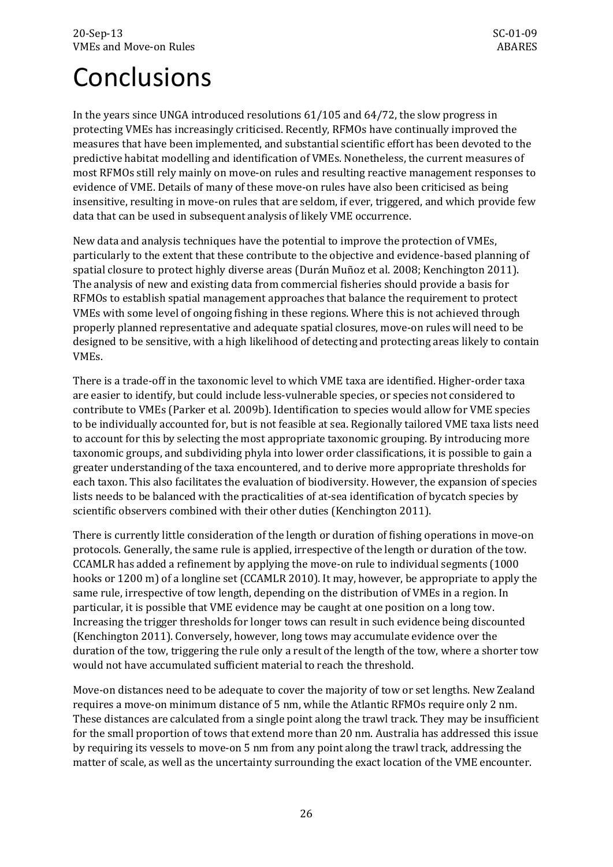# <span id="page-29-0"></span>Conclusions

In the years since UNGA introduced resolutions 61/105 and 64/72, the slow progress in protecting VMEs has increasingly criticised. Recently, RFMOs have continually improved the measures that have been implemented, and substantial scientific effort has been devoted to the predictive habitat modelling and identification of VMEs. Nonetheless, the current measures of most RFMOs still rely mainly on move-on rules and resulting reactive management responses to evidence of VME. Details of many of these move-on rules have also been criticised as being insensitive, resulting in move-on rules that are seldom, if ever, triggered, and which provide few data that can be used in subsequent analysis of likely VME occurrence.

New data and analysis techniques have the potential to improve the protection of VMEs, particularly to the extent that these contribute to the objective and evidence-based planning of spatial closure to protect highly diverse areas (Durán Muñoz et al. 2008; Kenchington 2011). The analysis of new and existing data from commercial fisheries should provide a basis for RFMOs to establish spatial management approaches that balance the requirement to protect VMEs with some level of ongoing fishing in these regions. Where this is not achieved through properly planned representative and adequate spatial closures, move-on rules will need to be designed to be sensitive, with a high likelihood of detecting and protecting areas likely to contain VMEs.

There is a trade-off in the taxonomic level to which VME taxa are identified. Higher-order taxa are easier to identify, but could include less-vulnerable species, or species not considered to contribute to VMEs (Parker et al. 2009b). Identification to species would allow for VME species to be individually accounted for, but is not feasible at sea. Regionally tailored VME taxa lists need to account for this by selecting the most appropriate taxonomic grouping. By introducing more taxonomic groups, and subdividing phyla into lower order classifications, it is possible to gain a greater understanding of the taxa encountered, and to derive more appropriate thresholds for each taxon. This also facilitates the evaluation of biodiversity. However, the expansion of species lists needs to be balanced with the practicalities of at-sea identification of bycatch species by scientific observers combined with their other duties (Kenchington 2011).

There is currently little consideration of the length or duration of fishing operations in move-on protocols. Generally, the same rule is applied, irrespective of the length or duration of the tow. CCAMLR has added a refinement by applying the move-on rule to individual segments (1000 hooks or 1200 m) of a longline set (CCAMLR 2010). It may, however, be appropriate to apply the same rule, irrespective of tow length, depending on the distribution of VMEs in a region. In particular, it is possible that VME evidence may be caught at one position on a long tow. Increasing the trigger thresholds for longer tows can result in such evidence being discounted (Kenchington 2011). Conversely, however, long tows may accumulate evidence over the duration of the tow, triggering the rule only a result of the length of the tow, where a shorter tow would not have accumulated sufficient material to reach the threshold.

Move-on distances need to be adequate to cover the majority of tow or set lengths. New Zealand requires a move-on minimum distance of 5 nm, while the Atlantic RFMOs require only 2 nm. These distances are calculated from a single point along the trawl track. They may be insufficient for the small proportion of tows that extend more than 20 nm. Australia has addressed this issue by requiring its vessels to move-on 5 nm from any point along the trawl track, addressing the matter of scale, as well as the uncertainty surrounding the exact location of the VME encounter.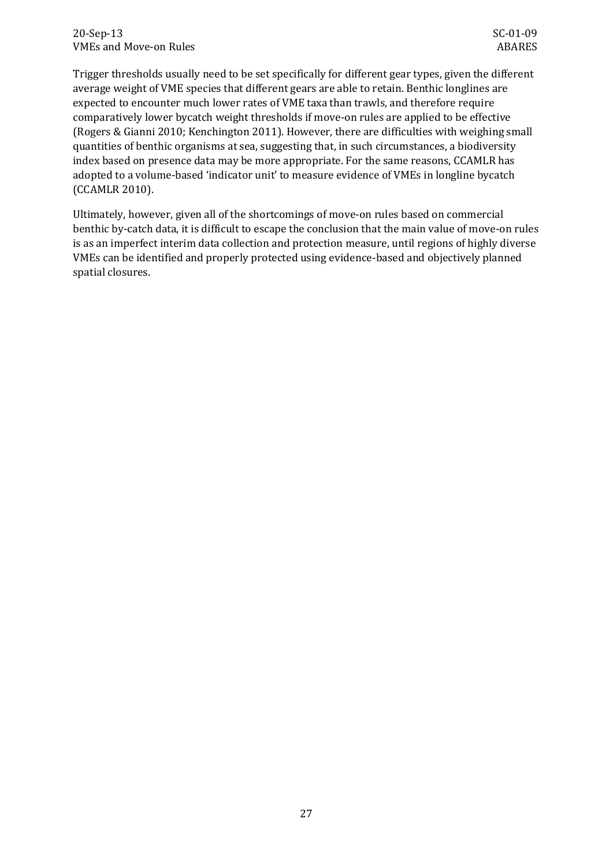Trigger thresholds usually need to be set specifically for different gear types, given the different average weight of VME species that different gears are able to retain. Benthic longlines are expected to encounter much lower rates of VME taxa than trawls, and therefore require comparatively lower bycatch weight thresholds if move-on rules are applied to be effective (Rogers & Gianni 2010; Kenchington 2011). However, there are difficulties with weighing small quantities of benthic organisms at sea, suggesting that, in such circumstances, a biodiversity index based on presence data may be more appropriate. For the same reasons, CCAMLR has adopted to a volume-based 'indicator unit' to measure evidence of VMEs in longline bycatch (CCAMLR 2010).

Ultimately, however, given all of the shortcomings of move-on rules based on commercial benthic by-catch data, it is difficult to escape the conclusion that the main value of move-on rules is as an imperfect interim data collection and protection measure, until regions of highly diverse VMEs can be identified and properly protected using evidence-based and objectively planned spatial closures.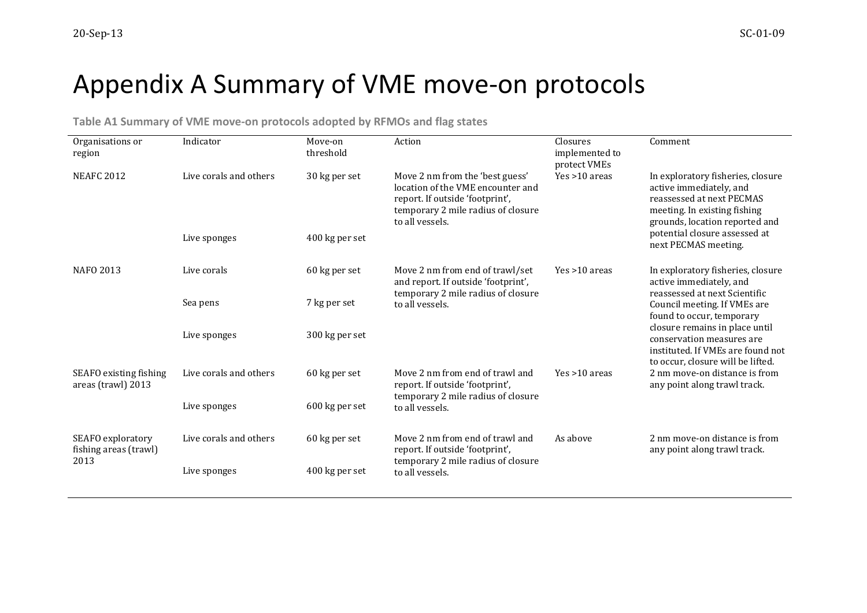# Appendix A Summary of VME move-on protocols

**Table A1 Summary of VME move-on protocols adopted by RFMOs and flag states**

<span id="page-31-1"></span><span id="page-31-0"></span>

| Organisations or<br>region                         | Indicator              | Move-on<br>threshold | Action                                                                                                                                                           | Closures<br>implemented to<br>protect VMEs | Comment                                                                                                                                                                                                                             |  |
|----------------------------------------------------|------------------------|----------------------|------------------------------------------------------------------------------------------------------------------------------------------------------------------|--------------------------------------------|-------------------------------------------------------------------------------------------------------------------------------------------------------------------------------------------------------------------------------------|--|
| <b>NEAFC 2012</b>                                  | Live corals and others | 30 kg per set        | Move 2 nm from the 'best guess'<br>location of the VME encounter and<br>report. If outside 'footprint',<br>temporary 2 mile radius of closure<br>to all vessels. | Yes >10 areas                              | In exploratory fisheries, closure<br>active immediately, and<br>reassessed at next PECMAS<br>meeting. In existing fishing<br>grounds, location reported and                                                                         |  |
|                                                    | Live sponges           | 400 kg per set       |                                                                                                                                                                  |                                            | potential closure assessed at<br>next PECMAS meeting.                                                                                                                                                                               |  |
| <b>NAFO 2013</b>                                   | Live corals            | 60 kg per set        | Move 2 nm from end of trawl/set<br>and report. If outside 'footprint',                                                                                           | $Yes > 10$ areas                           | In exploratory fisheries, closure<br>active immediately, and                                                                                                                                                                        |  |
|                                                    | Sea pens               | 7 kg per set         | temporary 2 mile radius of closure<br>to all vessels.                                                                                                            |                                            | reassessed at next Scientific<br>Council meeting. If VMEs are<br>found to occur, temporary<br>closure remains in place until<br>conservation measures are<br>instituted. If VMEs are found not<br>to occur, closure will be lifted. |  |
|                                                    | Live sponges           | 300 kg per set       |                                                                                                                                                                  |                                            |                                                                                                                                                                                                                                     |  |
| SEAFO existing fishing<br>areas (trawl) 2013       | Live corals and others | 60 kg per set        | Move 2 nm from end of trawl and<br>report. If outside 'footprint',                                                                                               | $Yes > 10$ areas                           | 2 nm move-on distance is from<br>any point along trawl track.                                                                                                                                                                       |  |
|                                                    | Live sponges           | 600 kg per set       | temporary 2 mile radius of closure<br>to all vessels.                                                                                                            |                                            |                                                                                                                                                                                                                                     |  |
| SEAFO exploratory<br>fishing areas (trawl)<br>2013 | Live corals and others | 60 kg per set        | Move 2 nm from end of trawl and<br>report. If outside 'footprint',                                                                                               | As above                                   | 2 nm move-on distance is from<br>any point along trawl track.                                                                                                                                                                       |  |
|                                                    | Live sponges           | 400 kg per set       | temporary 2 mile radius of closure<br>to all vessels.                                                                                                            |                                            |                                                                                                                                                                                                                                     |  |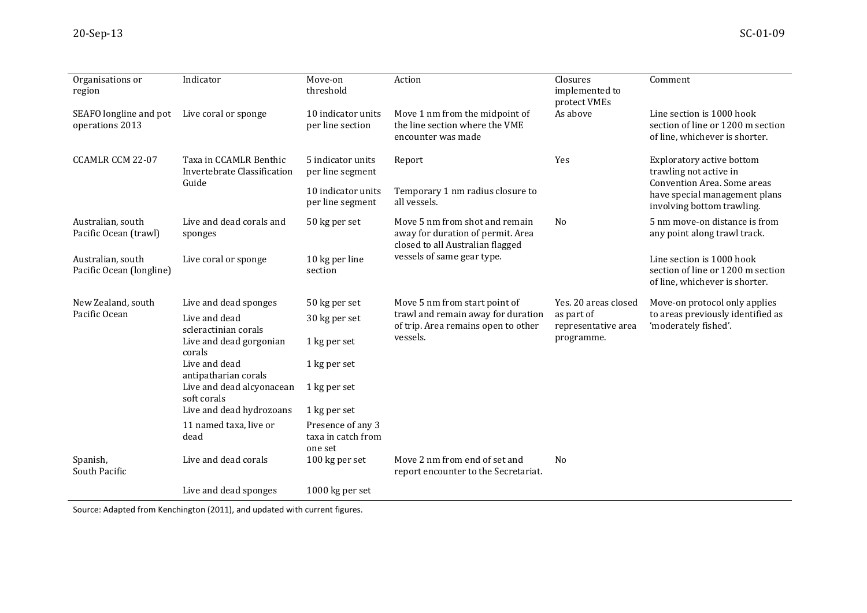| Organisations or<br>region                    | Indicator                                             | Move-on<br>threshold                               | Action                                                                                                  | Closures<br>implemented to<br>protect VMEs      | Comment                                                                                          |
|-----------------------------------------------|-------------------------------------------------------|----------------------------------------------------|---------------------------------------------------------------------------------------------------------|-------------------------------------------------|--------------------------------------------------------------------------------------------------|
| SEAFO longline and pot<br>operations 2013     | Live coral or sponge                                  | 10 indicator units<br>per line section             | Move 1 nm from the midpoint of<br>the line section where the VME<br>encounter was made                  | As above                                        | Line section is 1000 hook<br>section of line or 1200 m section<br>of line, whichever is shorter. |
| CCAMLR CCM 22-07                              | Taxa in CCAMLR Benthic<br>Invertebrate Classification | 5 indicator units<br>per line segment              | Report                                                                                                  | Yes                                             | Exploratory active bottom<br>trawling not active in                                              |
|                                               | Guide                                                 | 10 indicator units<br>per line segment             | Temporary 1 nm radius closure to<br>all vessels.                                                        |                                                 | Convention Area. Some areas<br>have special management plans<br>involving bottom trawling.       |
| Australian, south<br>Pacific Ocean (trawl)    | Live and dead corals and<br>sponges                   | 50 kg per set                                      | Move 5 nm from shot and remain<br>away for duration of permit. Area<br>closed to all Australian flagged | N <sub>0</sub>                                  | 5 nm move-on distance is from<br>any point along trawl track.                                    |
| Australian, south<br>Pacific Ocean (longline) | Live coral or sponge                                  | 10 kg per line<br>section                          | vessels of same gear type.                                                                              |                                                 | Line section is 1000 hook<br>section of line or 1200 m section<br>of line, whichever is shorter. |
| New Zealand, south                            | Live and dead sponges                                 | 50 kg per set                                      | Move 5 nm from start point of                                                                           | Yes. 20 areas closed                            | Move-on protocol only applies                                                                    |
| Pacific Ocean                                 | Live and dead<br>scleractinian corals                 | 30 kg per set                                      | trawl and remain away for duration<br>of trip. Area remains open to other<br>vessels.                   | as part of<br>representative area<br>programme. | to areas previously identified as<br>'moderately fished'.                                        |
|                                               | Live and dead gorgonian<br>corals                     | 1 kg per set                                       |                                                                                                         |                                                 |                                                                                                  |
|                                               | Live and dead<br>antipatharian corals                 | 1 kg per set                                       |                                                                                                         |                                                 |                                                                                                  |
|                                               | Live and dead alcyonacean<br>soft corals              | 1 kg per set                                       |                                                                                                         |                                                 |                                                                                                  |
|                                               | Live and dead hydrozoans                              | 1 kg per set                                       |                                                                                                         |                                                 |                                                                                                  |
|                                               | 11 named taxa, live or<br>dead                        | Presence of any 3<br>taxa in catch from<br>one set |                                                                                                         |                                                 |                                                                                                  |
| Spanish,<br>South Pacific                     | Live and dead corals                                  | 100 kg per set                                     | Move 2 nm from end of set and<br>report encounter to the Secretariat.                                   | No                                              |                                                                                                  |
|                                               | Live and dead sponges                                 | 1000 kg per set                                    |                                                                                                         |                                                 |                                                                                                  |

Source: Adapted from Kenchington (2011), and updated with current figures.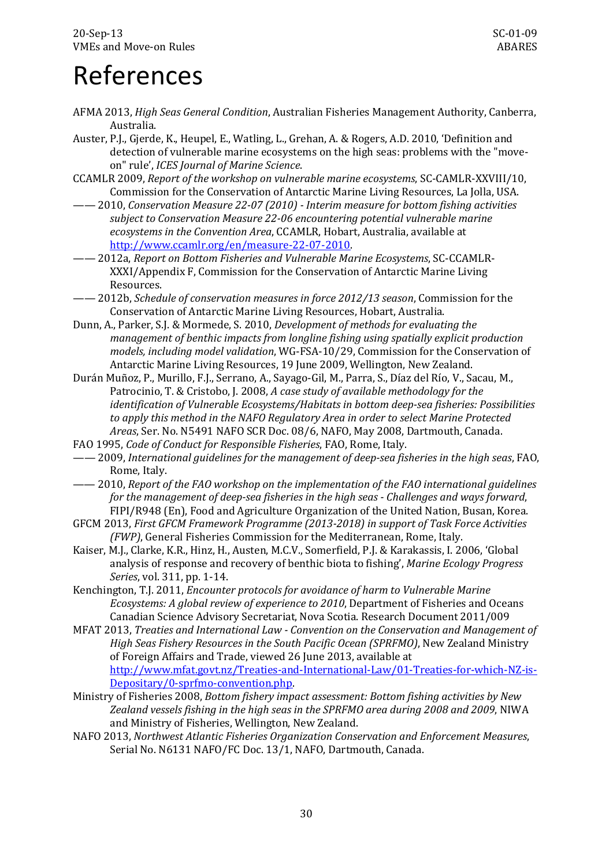# <span id="page-33-0"></span>References

- AFMA 2013, *High Seas General Condition*, Australian Fisheries Management Authority, Canberra, Australia.
- Auster, P.J., Gjerde, K., Heupel, E., Watling, L., Grehan, A. & Rogers, A.D. 2010, 'Definition and detection of vulnerable marine ecosystems on the high seas: problems with the "moveon" rule', *ICES Journal of Marine Science*.
- CCAMLR 2009, *Report of the workshop on vulnerable marine ecosystems*, SC-CAMLR-XXVIII/10, Commission for the Conservation of Antarctic Marine Living Resources, La Jolla, USA.
- —— 2010, *Conservation Measure 22-07 (2010) - Interim measure for bottom fishing activities subject to Conservation Measure 22-06 encountering potential vulnerable marine ecosystems in the Convention Area*, CCAMLR, Hobart, Australia, available at [http://www.ccamlr.org/en/measure-22-07-2010.](http://www.ccamlr.org/en/measure-22-07-2010)
- —— 2012a, *Report on Bottom Fisheries and Vulnerable Marine Ecosystems*, SC-CCAMLR-XXXI/Appendix F, Commission for the Conservation of Antarctic Marine Living Resources.
- —— 2012b, *Schedule of conservation measures in force 2012/13 season*, Commission for the Conservation of Antarctic Marine Living Resources, Hobart, Australia.
- Dunn, A., Parker, S.J. & Mormede, S. 2010, *Development of methods for evaluating the management of benthic impacts from longline fishing using spatially explicit production models, including model validation*, WG-FSA-10/29, Commission for the Conservation of Antarctic Marine Living Resources, 19 June 2009, Wellington, New Zealand.
- Durán Muñoz, P., Murillo, F.J., Serrano, A., Sayago-Gil, M., Parra, S., Díaz del Río, V., Sacau, M., Patrocinio, T. & Cristobo, J. 2008, *A case study of available methodology for the identification of Vulnerable Ecosystems/Habitats in bottom deep-sea fisheries: Possibilities to apply this method in the NAFO Regulatory Area in order to select Marine Protected Areas*, Ser. No. N5491 NAFO SCR Doc. 08/6, NAFO, May 2008, Dartmouth, Canada.
- FAO 1995, *Code of Conduct for Responsible Fisheries*, FAO, Rome, Italy.
- —— 2009, *International guidelines for the management of deep-sea fisheries in the high seas*, FAO, Rome, Italy.
- —— 2010, *Report of the FAO workshop on the implementation of the FAO international guidelines for the management of deep-sea fisheries in the high seas - Challenges and ways forward*, FIPI/R948 (En), Food and Agriculture Organization of the United Nation, Busan, Korea.
- GFCM 2013, *First GFCM Framework Programme (2013-2018) in support of Task Force Activities (FWP)*, General Fisheries Commission for the Mediterranean, Rome, Italy.
- Kaiser, M.J., Clarke, K.R., Hinz, H., Austen, M.C.V., Somerfield, P.J. & Karakassis, I. 2006, 'Global analysis of response and recovery of benthic biota to fishing', *Marine Ecology Progress Series*, vol. 311, pp. 1-14.
- Kenchington, T.J. 2011, *Encounter protocols for avoidance of harm to Vulnerable Marine Ecosystems: A global review of experience to 2010*, Department of Fisheries and Oceans Canadian Science Advisory Secretariat, Nova Scotia. Research Document 2011/009
- MFAT 2013, *Treaties and International Law - Convention on the Conservation and Management of High Seas Fishery Resources in the South Pacific Ocean (SPRFMO)*, New Zealand Ministry of Foreign Affairs and Trade, viewed 26 June 2013, available at [http://www.mfat.govt.nz/Treaties-and-International-Law/01-Treaties-for-which-NZ-is-](http://www.mfat.govt.nz/Treaties-and-International-Law/01-Treaties-for-which-NZ-is-Depositary/0-sprfmo-convention.php)[Depositary/0-sprfmo-convention.php.](http://www.mfat.govt.nz/Treaties-and-International-Law/01-Treaties-for-which-NZ-is-Depositary/0-sprfmo-convention.php)
- Ministry of Fisheries 2008, *Bottom fishery impact assessment: Bottom fishing activities by New Zealand vessels fishing in the high seas in the SPRFMO area during 2008 and 2009*, NIWA and Ministry of Fisheries, Wellington, New Zealand.
- NAFO 2013, *Northwest Atlantic Fisheries Organization Conservation and Enforcement Measures*, Serial No. N6131 NAFO/FC Doc. 13/1, NAFO, Dartmouth, Canada.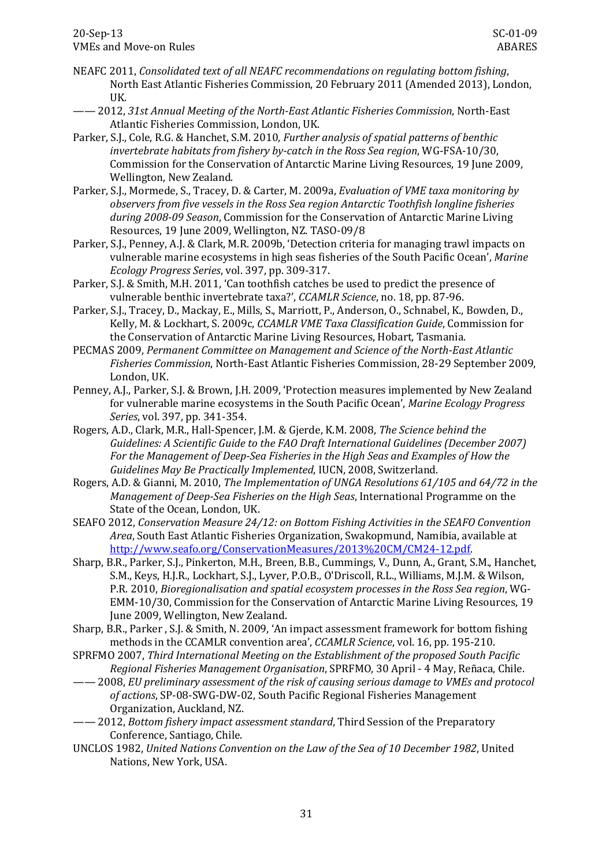- NEAFC 2011, *Consolidated text of all NEAFC recommendations on regulating bottom fishing*, North East Atlantic Fisheries Commission, 20 February 2011 (Amended 2013), London, UK.
- —— 2012, *31st Annual Meeting of the North-East Atlantic Fisheries Commission*, North-East Atlantic Fisheries Commission, London, UK.
- Parker, S.J., Cole, R.G. & Hanchet, S.M. 2010, *Further analysis of spatial patterns of benthic invertebrate habitats from fishery by-catch in the Ross Sea region*, WG-FSA-10/30, Commission for the Conservation of Antarctic Marine Living Resources, 19 June 2009, Wellington, New Zealand.
- Parker, S.J., Mormede, S., Tracey, D. & Carter, M. 2009a, *Evaluation of VME taxa monitoring by observers from five vessels in the Ross Sea region Antarctic Toothfish longline fisheries during 2008-09 Season*, Commission for the Conservation of Antarctic Marine Living Resources, 19 June 2009, Wellington, NZ. TASO-09/8
- Parker, S.J., Penney, A.J. & Clark, M.R. 2009b, 'Detection criteria for managing trawl impacts on vulnerable marine ecosystems in high seas fisheries of the South Pacific Ocean', *Marine Ecology Progress Series*, vol. 397, pp. 309-317.
- Parker, S.J. & Smith, M.H. 2011, 'Can toothfish catches be used to predict the presence of vulnerable benthic invertebrate taxa?', *CCAMLR Science*, no. 18, pp. 87-96.
- Parker, S.J., Tracey, D., Mackay, E., Mills, S., Marriott, P., Anderson, O., Schnabel, K., Bowden, D., Kelly, M. & Lockhart, S. 2009c, *CCAMLR VME Taxa Classification Guide*, Commission for the Conservation of Antarctic Marine Living Resources, Hobart, Tasmania.
- PECMAS 2009, *Permanent Committee on Management and Science of the North-East Atlantic Fisheries Commission*, North-East Atlantic Fisheries Commission, 28-29 September 2009, London, UK.
- Penney, A.J., Parker, S.J. & Brown, J.H. 2009, 'Protection measures implemented by New Zealand for vulnerable marine ecosystems in the South Pacific Ocean', *Marine Ecology Progress Series*, vol. 397, pp. 341-354.
- Rogers, A.D., Clark, M.R., Hall-Spencer, J.M. & Gjerde, K.M. 2008, *The Science behind the Guidelines: A Scientific Guide to the FAO Draft International Guidelines (December 2007) For the Management of Deep-Sea Fisheries in the High Seas and Examples of How the Guidelines May Be Practically Implemented*, IUCN, 2008, Switzerland.
- Rogers, A.D. & Gianni, M. 2010, *The Implementation of UNGA Resolutions 61/105 and 64/72 in the Management of Deep-Sea Fisheries on the High Seas*, International Programme on the State of the Ocean, London, UK.
- SEAFO 2012, *Conservation Measure 24/12: on Bottom Fishing Activities in the SEAFO Convention Area*, South East Atlantic Fisheries Organization, Swakopmund, Namibia, available at [http://www.seafo.org/ConservationMeasures/2013%20CM/CM24-12.pdf.](http://www.seafo.org/ConservationMeasures/2013%20CM/CM24-12.pdf)
- Sharp, B.R., Parker, S.J., Pinkerton, M.H., Breen, B.B., Cummings, V., Dunn, A., Grant, S.M., Hanchet, S.M., Keys, H.J.R., Lockhart, S.J., Lyver, P.O.B., O'Driscoll, R.L., Williams, M.J.M. & Wilson, P.R. 2010, *Bioregionalisation and spatial ecosystem processes in the Ross Sea region*, WG-EMM-10/30, Commission for the Conservation of Antarctic Marine Living Resources, 19 June 2009, Wellington, New Zealand.
- Sharp, B.R., Parker , S.J. & Smith, N. 2009, 'An impact assessment framework for bottom fishing methods in the CCAMLR convention area', *CCAMLR Science*, vol. 16, pp. 195-210.
- SPRFMO 2007, *Third International Meeting on the Establishment of the proposed South Pacific Regional Fisheries Management Organisation*, SPRFMO, 30 April - 4 May, Reñaca, Chile.
- —— 2008, *EU preliminary assessment of the risk of causing serious damage to VMEs and protocol of actions*, SP-08-SWG-DW-02, South Pacific Regional Fisheries Management Organization, Auckland, NZ.
- —— 2012, *Bottom fishery impact assessment standard*, Third Session of the Preparatory Conference, Santiago, Chile.
- UNCLOS 1982, *United Nations Convention on the Law of the Sea of 10 December 1982*, United Nations, New York, USA.